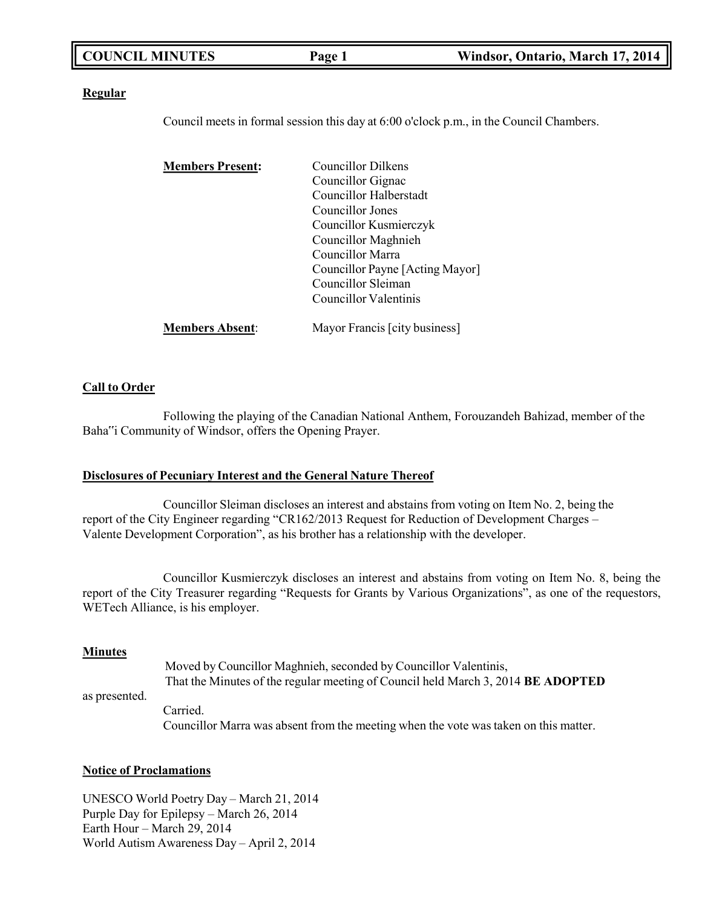| <b>COUNCIL MINUTES</b> | Page 1 | Windsor, Ontario, March 17, 2014 |
|------------------------|--------|----------------------------------|
|                        |        |                                  |

#### **Regular**

Council meets in formal session this day at 6:00 o'clock p.m., in the Council Chambers.

| <b>Members Present:</b> | <b>Councillor Dilkens</b>       |
|-------------------------|---------------------------------|
|                         | Councillor Gignac               |
|                         | <b>Councillor Halberstadt</b>   |
|                         | Councillor Jones                |
|                         | Councillor Kusmierczyk          |
|                         | Councillor Maghnieh             |
|                         | Councillor Marra                |
|                         | Councillor Payne [Acting Mayor] |
|                         | Councillor Sleiman              |
|                         | Councillor Valentinis           |
| <b>Members Absent:</b>  | Mayor Francis [city business]   |

#### **Call to Order**

Following the playing of the Canadian National Anthem, Forouzandeh Bahizad, member of the Baha"i Community of Windsor, offers the Opening Prayer.

#### **Disclosures of Pecuniary Interest and the General Nature Thereof**

Councillor Sleiman discloses an interest and abstains from voting on Item No. 2, being the report of the City Engineer regarding "CR162/2013 Request for Reduction of Development Charges – Valente Development Corporation", as his brother has a relationship with the developer.

Councillor Kusmierczyk discloses an interest and abstains from voting on Item No. 8, being the report of the City Treasurer regarding "Requests for Grants by Various Organizations", as one of the requestors, WETech Alliance, is his employer.

#### **Minutes**

Moved by Councillor Maghnieh, seconded by Councillor Valentinis, That the Minutes of the regular meeting of Council held March 3, 2014 **BE ADOPTED**

as presented.

Carried. Councillor Marra was absent from the meeting when the vote was taken on this matter.

#### **Notice of Proclamations**

UNESCO World Poetry Day – March 21, 2014 Purple Day for Epilepsy – March 26, 2014 Earth Hour – March 29, 2014 World Autism Awareness Day – April 2, 2014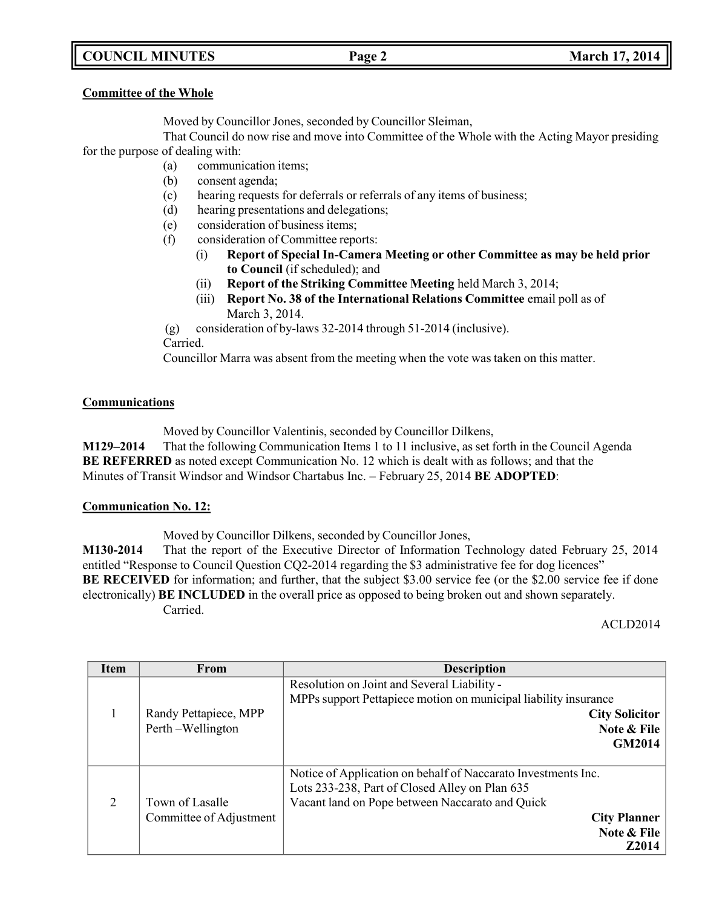# **COUNCIL MINUTES Page 2 March 17, 2014**

### **Committee of the Whole**

Moved by Councillor Jones, seconded by Councillor Sleiman,

That Council do now rise and move into Committee of the Whole with the Acting Mayor presiding for the purpose of dealing with:

- (a) communication items;
- (b) consent agenda;
- (c) hearing requests for deferrals or referrals of any items of business;
- (d) hearing presentations and delegations;
- (e) consideration of business items;
- (f) consideration of Committee reports:
	- (i) **Report of Special In-Camera Meeting or other Committee as may be held prior to Council** (if scheduled); and
	- (ii) **Report of the Striking Committee Meeting** held March 3, 2014;
	- (iii) **Report No. 38 of the International Relations Committee** email poll as of March 3, 2014.

(g) consideration of by-laws 32-2014 through 51-2014 (inclusive).

Carried.

Councillor Marra was absent from the meeting when the vote was taken on this matter.

## **Communications**

Moved by Councillor Valentinis, seconded by Councillor Dilkens,

**M129–2014** That the following Communication Items 1 to 11 inclusive, as set forth in the Council Agenda **BE REFERRED** as noted except Communication No. 12 which is dealt with as follows; and that the Minutes of Transit Windsor and Windsor Chartabus Inc. – February 25, 2014 **BE ADOPTED**:

## **Communication No. 12:**

Moved by Councillor Dilkens, seconded by Councillor Jones,

**M130-2014** That the report of the Executive Director of Information Technology dated February 25, 2014 entitled "Response to Council Question CQ2-2014 regarding the \$3 administrative fee for dog licences" **BE** RECEIVED for information; and further, that the subject \$3.00 service fee (or the \$2.00 service fee if done electronically) **BE INCLUDED** in the overall price as opposed to being broken out and shown separately. Carried.

ACLD2014

| <b>Item</b> | From                                       | <b>Description</b>                                                                                                                                                                                                       |
|-------------|--------------------------------------------|--------------------------------------------------------------------------------------------------------------------------------------------------------------------------------------------------------------------------|
|             | Randy Pettapiece, MPP<br>Perth-Wellington  | Resolution on Joint and Several Liability -<br>MPPs support Pettapiece motion on municipal liability insurance<br><b>City Solicitor</b><br>Note & File<br><b>GM2014</b>                                                  |
| 2           | Town of Lasalle<br>Committee of Adjustment | Notice of Application on behalf of Naccarato Investments Inc.<br>Lots 233-238, Part of Closed Alley on Plan 635<br>Vacant land on Pope between Naccarato and Quick<br><b>City Planner</b><br>Note & File<br><b>Z2014</b> |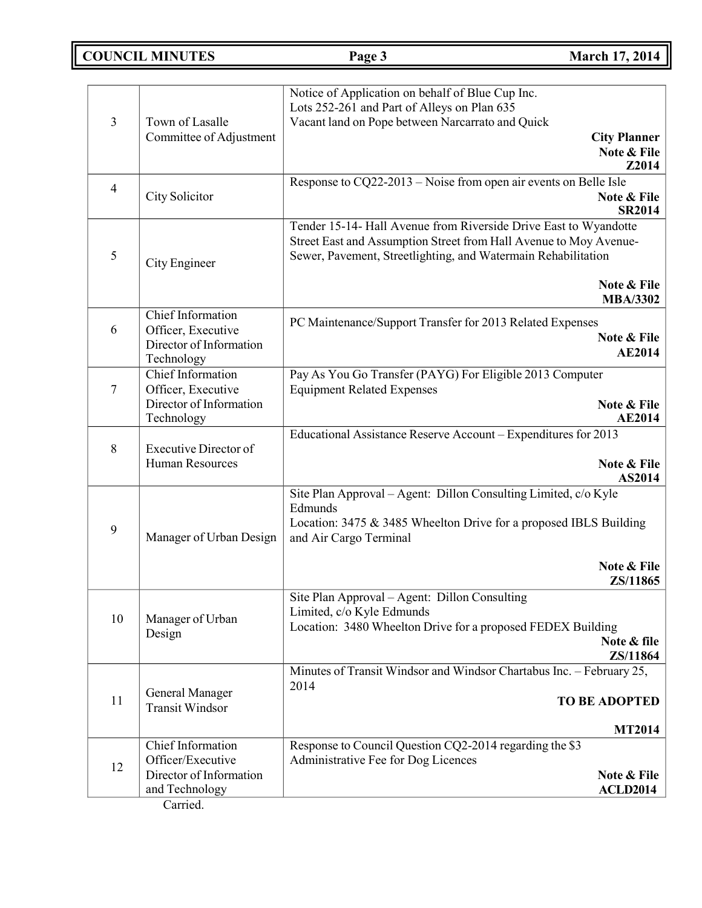# **COUNCIL MINUTES Page 3 March 17, 2014**

| 3              | Town of Lasalle<br>Committee of Adjustment                                       | Notice of Application on behalf of Blue Cup Inc.<br>Lots 252-261 and Part of Alleys on Plan 635<br>Vacant land on Pope between Narcarrato and Quick<br><b>City Planner</b><br>Note & File                             | Z2014         |
|----------------|----------------------------------------------------------------------------------|-----------------------------------------------------------------------------------------------------------------------------------------------------------------------------------------------------------------------|---------------|
| $\overline{4}$ | City Solicitor                                                                   | Response to CQ22-2013 - Noise from open air events on Belle Isle<br>Note & File                                                                                                                                       | <b>SR2014</b> |
| 5              | City Engineer                                                                    | Tender 15-14- Hall Avenue from Riverside Drive East to Wyandotte<br>Street East and Assumption Street from Hall Avenue to Moy Avenue-<br>Sewer, Pavement, Streetlighting, and Watermain Rehabilitation<br>Note & File |               |
|                |                                                                                  | <b>MBA/3302</b>                                                                                                                                                                                                       |               |
| 6              | Chief Information<br>Officer, Executive<br>Director of Information<br>Technology | PC Maintenance/Support Transfer for 2013 Related Expenses<br>Note & File                                                                                                                                              | <b>AE2014</b> |
| $\overline{7}$ | <b>Chief Information</b><br>Officer, Executive<br>Director of Information        | Pay As You Go Transfer (PAYG) For Eligible 2013 Computer<br><b>Equipment Related Expenses</b><br>Note & File                                                                                                          |               |
|                | Technology                                                                       |                                                                                                                                                                                                                       | <b>AE2014</b> |
| 8              | <b>Executive Director of</b><br><b>Human Resources</b>                           | Educational Assistance Reserve Account – Expenditures for 2013<br>Note & File                                                                                                                                         | AS2014        |
| 9              | Manager of Urban Design                                                          | Site Plan Approval - Agent: Dillon Consulting Limited, c/o Kyle<br>Edmunds<br>Location: 3475 & 3485 Wheelton Drive for a proposed IBLS Building<br>and Air Cargo Terminal<br>Note & File                              |               |
|                |                                                                                  | ZS/11865                                                                                                                                                                                                              |               |
| 10             | Manager of Urban<br>Design                                                       | Site Plan Approval - Agent: Dillon Consulting<br>Limited, c/o Kyle Edmunds<br>Location: 3480 Wheelton Drive for a proposed FEDEX Building<br>Note & file<br>ZS/11864                                                  |               |
|                |                                                                                  | Minutes of Transit Windsor and Windsor Chartabus Inc. - February 25,                                                                                                                                                  |               |
| 11             | General Manager<br><b>Transit Windsor</b>                                        | 2014<br><b>TO BE ADOPTED</b>                                                                                                                                                                                          |               |
|                |                                                                                  |                                                                                                                                                                                                                       | <b>MT2014</b> |
| 12             | Chief Information<br>Officer/Executive<br>Director of Information                | Response to Council Question CQ2-2014 regarding the \$3<br>Administrative Fee for Dog Licences<br>Note & File                                                                                                         |               |
|                | and Technology                                                                   | <b>ACLD2014</b>                                                                                                                                                                                                       |               |

Carried.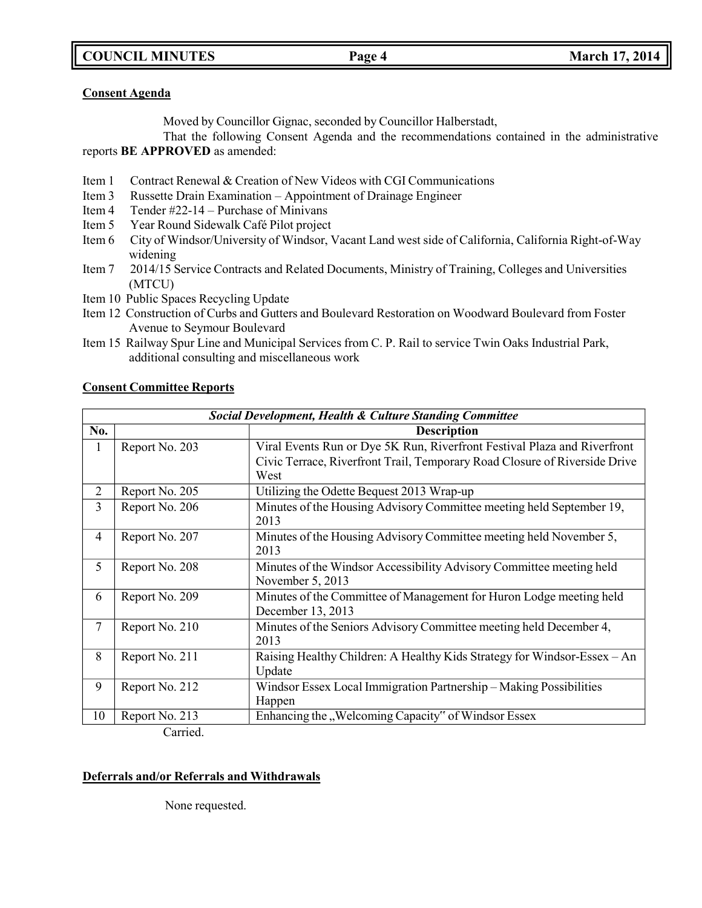**COUNCIL MINUTES Page 4 March 17, 2014**

### **Consent Agenda**

Moved by Councillor Gignac, seconded by Councillor Halberstadt,

That the following Consent Agenda and the recommendations contained in the administrative reports **BE APPROVED** as amended:

- Item 1 Contract Renewal & Creation of New Videos with CGI Communications
- Item 3 Russette Drain Examination Appointment of Drainage Engineer
- Item 4 Tender #22-14 Purchase of Minivans
- Item 5 Year Round Sidewalk Café Pilot project
- Item 6 City of Windsor/University of Windsor, Vacant Land west side of California, California Right-of-Way widening
- Item 7 2014/15 Service Contracts and Related Documents, Ministry of Training, Colleges and Universities (MTCU)
- Item 10 Public Spaces Recycling Update
- Item 12 Construction of Curbs and Gutters and Boulevard Restoration on Woodward Boulevard from Foster Avenue to Seymour Boulevard
- Item 15 Railway Spur Line and Municipal Services from C. P. Rail to service Twin Oaks Industrial Park, additional consulting and miscellaneous work

## **Consent Committee Reports**

| No.<br><b>Description</b><br>Report No. 203<br>Viral Events Run or Dye 5K Run, Riverfront Festival Plaza and Riverfront |  |
|-------------------------------------------------------------------------------------------------------------------------|--|
|                                                                                                                         |  |
| $\bf{l}$                                                                                                                |  |
| Civic Terrace, Riverfront Trail, Temporary Road Closure of Riverside Drive                                              |  |
| West                                                                                                                    |  |
| $\overline{2}$<br>Report No. 205<br>Utilizing the Odette Bequest 2013 Wrap-up                                           |  |
| 3<br>Minutes of the Housing Advisory Committee meeting held September 19,<br>Report No. 206                             |  |
| 2013                                                                                                                    |  |
| Minutes of the Housing Advisory Committee meeting held November 5,<br>$\overline{4}$<br>Report No. 207                  |  |
| 2013                                                                                                                    |  |
| 5<br>Minutes of the Windsor Accessibility Advisory Committee meeting held<br>Report No. 208                             |  |
| November 5, 2013                                                                                                        |  |
| Report No. 209<br>Minutes of the Committee of Management for Huron Lodge meeting held<br>6                              |  |
| December 13, 2013                                                                                                       |  |
| $\tau$<br>Report No. 210<br>Minutes of the Seniors Advisory Committee meeting held December 4,                          |  |
| 2013                                                                                                                    |  |
| 8<br>Raising Healthy Children: A Healthy Kids Strategy for Windsor-Essex – An<br>Report No. 211                         |  |
| Update                                                                                                                  |  |
| 9<br>Windsor Essex Local Immigration Partnership - Making Possibilities<br>Report No. 212                               |  |
| Happen                                                                                                                  |  |
| Enhancing the "Welcoming Capacity" of Windsor Essex<br>Report No. 213<br>10                                             |  |

Carried.

# **Deferrals and/or Referrals and Withdrawals**

None requested.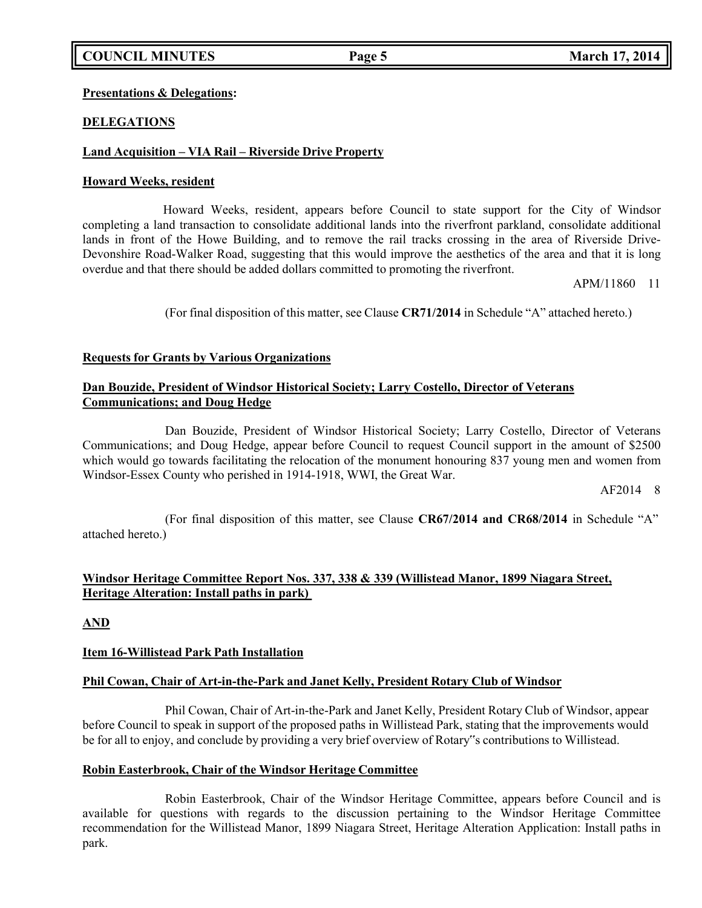# **COUNCIL MINUTES Page 5 March 17, 2014**

### **Presentations & Delegations:**

## **DELEGATIONS**

### **Land Acquisition – VIA Rail – Riverside Drive Property**

#### **Howard Weeks, resident**

Howard Weeks, resident, appears before Council to state support for the City of Windsor completing a land transaction to consolidate additional lands into the riverfront parkland, consolidate additional lands in front of the Howe Building, and to remove the rail tracks crossing in the area of Riverside Drive-Devonshire Road-Walker Road, suggesting that this would improve the aesthetics of the area and that it is long overdue and that there should be added dollars committed to promoting the riverfront.

APM/11860 11

(For final disposition of this matter, see Clause **CR71/2014** in Schedule "A" attached hereto.)

### **Requests for Grants by Various Organizations**

## **Dan Bouzide, President of Windsor Historical Society; Larry Costello, Director of Veterans Communications; and Doug Hedge**

Dan Bouzide, President of Windsor Historical Society; Larry Costello, Director of Veterans Communications; and Doug Hedge, appear before Council to request Council support in the amount of \$2500 which would go towards facilitating the relocation of the monument honouring 837 young men and women from Windsor-Essex County who perished in 1914-1918, WWI, the Great War.

AF2014 8

(For final disposition of this matter, see Clause **CR67/2014 and CR68/2014** in Schedule "A" attached hereto.)

## **Windsor Heritage Committee Report Nos. 337, 338 & 339 (Willistead Manor, 1899 Niagara Street, Heritage Alteration: Install paths in park)**

**AND**

#### **Item 16-Willistead Park Path Installation**

#### **Phil Cowan, Chair of Art-in-the-Park and Janet Kelly, President Rotary Club of Windsor**

Phil Cowan, Chair of Art-in-the-Park and Janet Kelly, President Rotary Club of Windsor, appear before Council to speak in support of the proposed paths in Willistead Park, stating that the improvements would be for all to enjoy, and conclude by providing a very brief overview of Rotary"s contributions to Willistead.

## **Robin Easterbrook, Chair of the Windsor Heritage Committee**

Robin Easterbrook, Chair of the Windsor Heritage Committee, appears before Council and is available for questions with regards to the discussion pertaining to the Windsor Heritage Committee recommendation for the Willistead Manor, 1899 Niagara Street, Heritage Alteration Application: Install paths in park.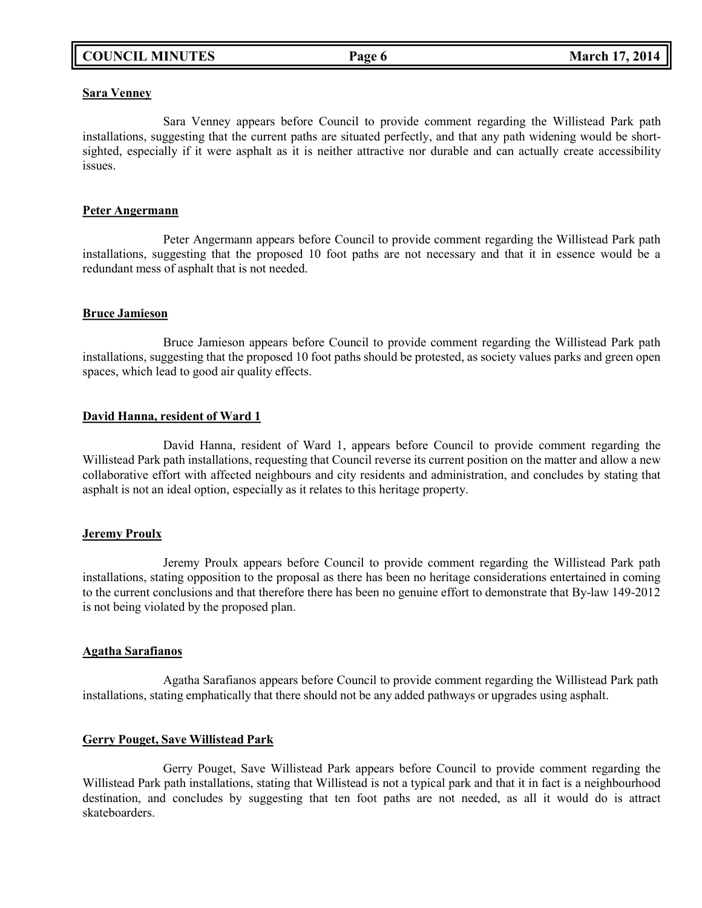### **Sara Venney**

Sara Venney appears before Council to provide comment regarding the Willistead Park path installations, suggesting that the current paths are situated perfectly, and that any path widening would be shortsighted, especially if it were asphalt as it is neither attractive nor durable and can actually create accessibility issues.

### **Peter Angermann**

Peter Angermann appears before Council to provide comment regarding the Willistead Park path installations, suggesting that the proposed 10 foot paths are not necessary and that it in essence would be a redundant mess of asphalt that is not needed.

### **Bruce Jamieson**

Bruce Jamieson appears before Council to provide comment regarding the Willistead Park path installations, suggesting that the proposed 10 foot paths should be protested, as society values parks and green open spaces, which lead to good air quality effects.

### **David Hanna, resident of Ward 1**

David Hanna, resident of Ward 1, appears before Council to provide comment regarding the Willistead Park path installations, requesting that Council reverse its current position on the matter and allow a new collaborative effort with affected neighbours and city residents and administration, and concludes by stating that asphalt is not an ideal option, especially as it relates to this heritage property.

#### **Jeremy Proulx**

Jeremy Proulx appears before Council to provide comment regarding the Willistead Park path installations, stating opposition to the proposal as there has been no heritage considerations entertained in coming to the current conclusions and that therefore there has been no genuine effort to demonstrate that By-law 149-2012 is not being violated by the proposed plan.

#### **Agatha Sarafianos**

Agatha Sarafianos appears before Council to provide comment regarding the Willistead Park path installations, stating emphatically that there should not be any added pathways or upgrades using asphalt.

## **Gerry Pouget, Save Willistead Park**

Gerry Pouget, Save Willistead Park appears before Council to provide comment regarding the Willistead Park path installations, stating that Willistead is not a typical park and that it in fact is a neighbourhood destination, and concludes by suggesting that ten foot paths are not needed, as all it would do is attract skateboarders.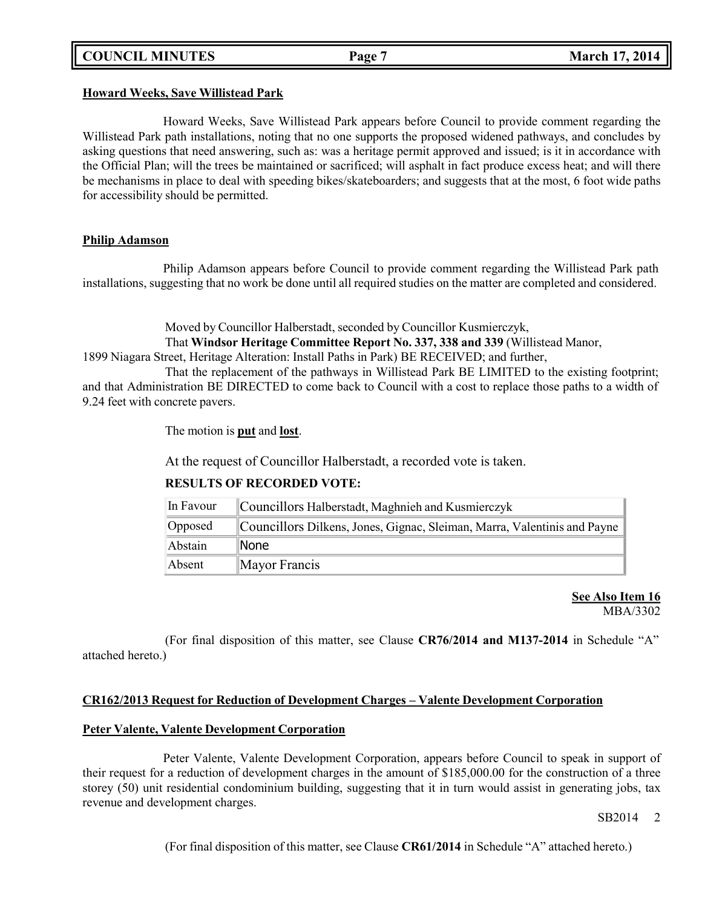### **Howard Weeks, Save Willistead Park**

Howard Weeks, Save Willistead Park appears before Council to provide comment regarding the Willistead Park path installations, noting that no one supports the proposed widened pathways, and concludes by asking questions that need answering, such as: was a heritage permit approved and issued; is it in accordance with the Official Plan; will the trees be maintained or sacrificed; will asphalt in fact produce excess heat; and will there be mechanisms in place to deal with speeding bikes/skateboarders; and suggests that at the most, 6 foot wide paths for accessibility should be permitted.

## **Philip Adamson**

Philip Adamson appears before Council to provide comment regarding the Willistead Park path installations, suggesting that no work be done until all required studies on the matter are completed and considered.

> Moved by Councillor Halberstadt, seconded by Councillor Kusmierczyk, That **Windsor Heritage Committee Report No. 337, 338 and 339** (Willistead Manor,

1899 Niagara Street, Heritage Alteration: Install Paths in Park) BE RECEIVED; and further,

That the replacement of the pathways in Willistead Park BE LIMITED to the existing footprint; and that Administration BE DIRECTED to come back to Council with a cost to replace those paths to a width of 9.24 feet with concrete pavers.

The motion is **put** and **lost**.

At the request of Councillor Halberstadt, a recorded vote is taken.

| In Favour | Councillors Halberstadt, Maghnieh and Kusmierczyk                        |  |
|-----------|--------------------------------------------------------------------------|--|
| Opposed   | Councillors Dilkens, Jones, Gignac, Sleiman, Marra, Valentinis and Payne |  |
| Abstain   | <b>None</b>                                                              |  |
| Absent    | Mayor Francis                                                            |  |

## **RESULTS OF RECORDED VOTE:**

## **See Also Item 16** MBA/3302

(For final disposition of this matter, see Clause **CR76/2014 and M137-2014** in Schedule "A" attached hereto.)

## **CR162/2013 Request for Reduction of Development Charges – Valente Development Corporation**

## **Peter Valente, Valente Development Corporation**

Peter Valente, Valente Development Corporation, appears before Council to speak in support of their request for a reduction of development charges in the amount of \$185,000.00 for the construction of a three storey (50) unit residential condominium building, suggesting that it in turn would assist in generating jobs, tax revenue and development charges.

SB2014 2

(For final disposition of this matter, see Clause **CR61/2014** in Schedule "A" attached hereto.)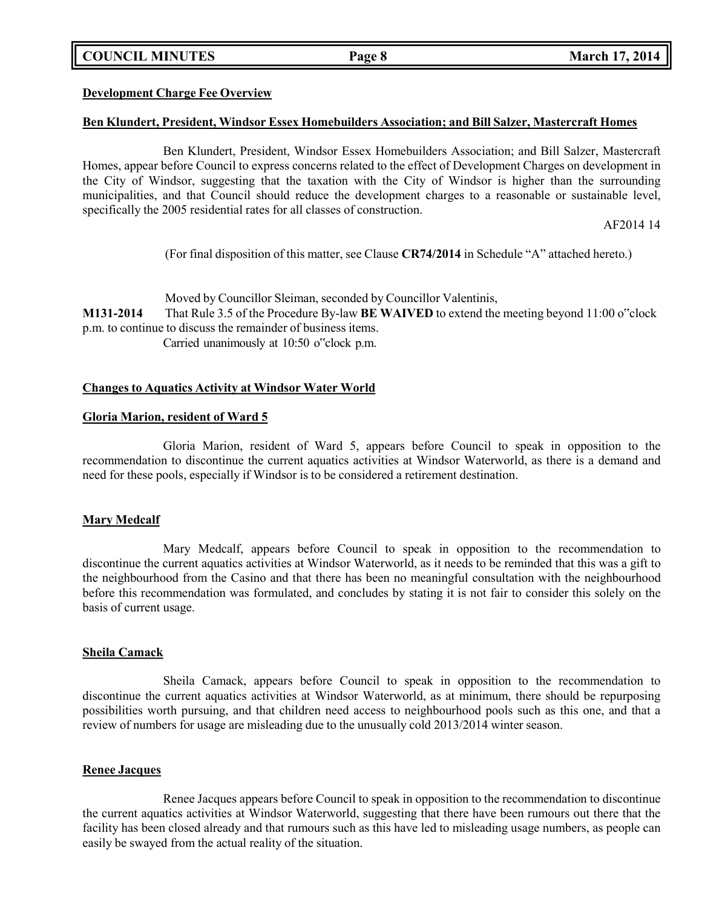**COUNCIL MINUTES Page 8 March 17, 2014**

### **Development Charge Fee Overview**

#### **Ben Klundert, President, Windsor Essex Homebuilders Association; and Bill Salzer, Mastercraft Homes**

Ben Klundert, President, Windsor Essex Homebuilders Association; and Bill Salzer, Mastercraft Homes, appear before Council to express concerns related to the effect of Development Charges on development in the City of Windsor, suggesting that the taxation with the City of Windsor is higher than the surrounding municipalities, and that Council should reduce the development charges to a reasonable or sustainable level, specifically the 2005 residential rates for all classes of construction.

AF2014 14

(For final disposition of this matter, see Clause **CR74/2014** in Schedule "A" attached hereto.)

Moved by Councillor Sleiman, seconded by Councillor Valentinis, **M131-2014** That Rule 3.5 of the Procedure By-law **BE WAIVED** to extend the meeting beyond 11:00 o"clock p.m. to continue to discuss the remainder of business items.

Carried unanimously at 10:50 o"clock p.m.

### **Changes to Aquatics Activity at Windsor Water World**

#### **Gloria Marion, resident of Ward 5**

Gloria Marion, resident of Ward 5, appears before Council to speak in opposition to the recommendation to discontinue the current aquatics activities at Windsor Waterworld, as there is a demand and need for these pools, especially if Windsor is to be considered a retirement destination.

#### **Mary Medcalf**

Mary Medcalf, appears before Council to speak in opposition to the recommendation to discontinue the current aquatics activities at Windsor Waterworld, as it needs to be reminded that this was a gift to the neighbourhood from the Casino and that there has been no meaningful consultation with the neighbourhood before this recommendation was formulated, and concludes by stating it is not fair to consider this solely on the basis of current usage.

#### **Sheila Camack**

Sheila Camack, appears before Council to speak in opposition to the recommendation to discontinue the current aquatics activities at Windsor Waterworld, as at minimum, there should be repurposing possibilities worth pursuing, and that children need access to neighbourhood pools such as this one, and that a review of numbers for usage are misleading due to the unusually cold 2013/2014 winter season.

#### **Renee Jacques**

Renee Jacques appears before Council to speak in opposition to the recommendation to discontinue the current aquatics activities at Windsor Waterworld, suggesting that there have been rumours out there that the facility has been closed already and that rumours such as this have led to misleading usage numbers, as people can easily be swayed from the actual reality of the situation.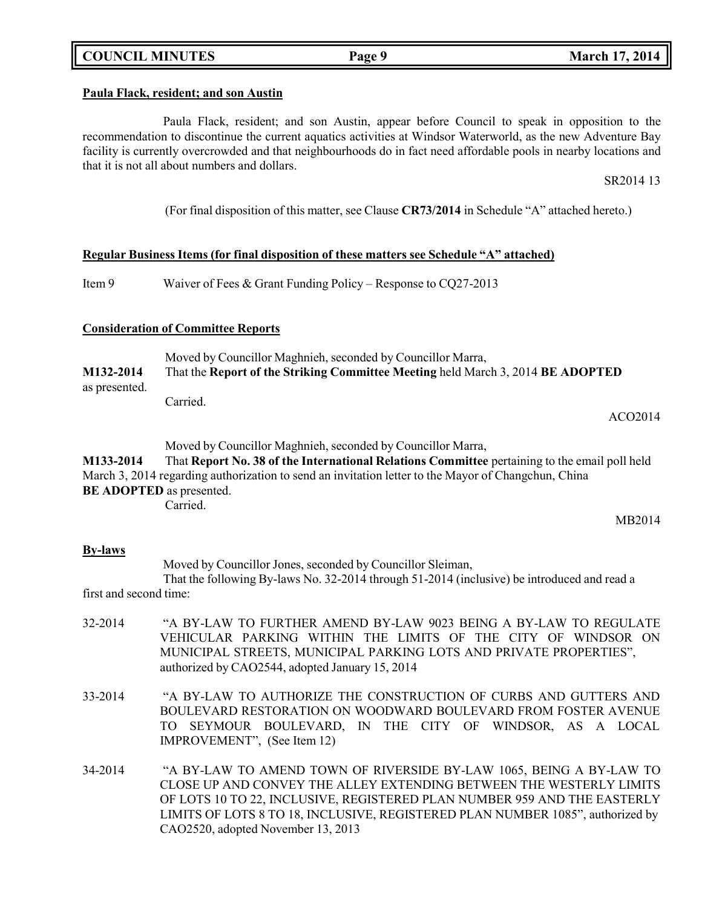# **COUNCIL MINUTES Page 9 March 17, 2014**

### **Paula Flack, resident; and son Austin**

Paula Flack, resident; and son Austin, appear before Council to speak in opposition to the recommendation to discontinue the current aquatics activities at Windsor Waterworld, as the new Adventure Bay facility is currently overcrowded and that neighbourhoods do in fact need affordable pools in nearby locations and that it is not all about numbers and dollars.

SR2014 13

(For final disposition of this matter, see Clause **CR73/2014** in Schedule "A" attached hereto.)

### **Regular Business Items (for final disposition of these matters see Schedule "A" attached)**

Item 9 Waiver of Fees & Grant Funding Policy – Response to CQ27-2013

## **Consideration of Committee Reports**

Moved by Councillor Maghnieh, seconded by Councillor Marra, **M132-2014** That the **Report of the Striking Committee Meeting** held March 3, 2014 **BE ADOPTED** as presented. Carried.

ACO2014

MB2014

Moved by Councillor Maghnieh, seconded by Councillor Marra,

**M133-2014** That **Report No. 38 of the International Relations Committee** pertaining to the email poll held March 3, 2014 regarding authorization to send an invitation letter to the Mayor of Changchun, China **BE ADOPTED** as presented. Carried.

## **By-laws**

Moved by Councillor Jones, seconded by Councillor Sleiman,

That the following By-laws No. 32-2014 through 51-2014 (inclusive) be introduced and read a first and second time:

- 32-2014 "A BY-LAW TO FURTHER AMEND BY-LAW 9023 BEING A BY-LAW TO REGULATE VEHICULAR PARKING WITHIN THE LIMITS OF THE CITY OF WINDSOR ON MUNICIPAL STREETS, MUNICIPAL PARKING LOTS AND PRIVATE PROPERTIES", authorized by CAO2544, adopted January 15, 2014
- 33-2014 "A BY-LAW TO AUTHORIZE THE CONSTRUCTION OF CURBS AND GUTTERS AND BOULEVARD RESTORATION ON WOODWARD BOULEVARD FROM FOSTER AVENUE TO SEYMOUR BOULEVARD, IN THE CITY OF WINDSOR, AS A LOCAL IMPROVEMENT", (See Item 12)
- 34-2014 "A BY-LAW TO AMEND TOWN OF RIVERSIDE BY-LAW 1065, BEING A BY-LAW TO CLOSE UP AND CONVEY THE ALLEY EXTENDING BETWEEN THE WESTERLY LIMITS OF LOTS 10 TO 22, INCLUSIVE, REGISTERED PLAN NUMBER 959 AND THE EASTERLY LIMITS OF LOTS 8 TO 18, INCLUSIVE, REGISTERED PLAN NUMBER 1085", authorized by CAO2520, adopted November 13, 2013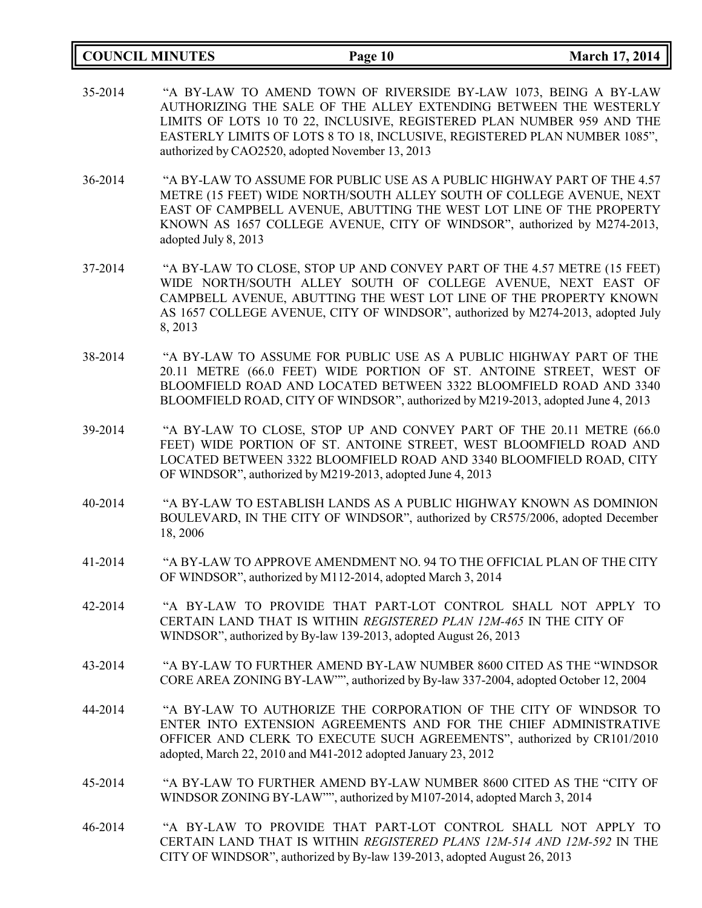|         | <b>COUNCIL MINUTES</b> | Page 10                                                                                                                                                                                                                                                                                                                                         | <b>March 17, 2014</b> |
|---------|------------------------|-------------------------------------------------------------------------------------------------------------------------------------------------------------------------------------------------------------------------------------------------------------------------------------------------------------------------------------------------|-----------------------|
| 35-2014 |                        | "A BY-LAW TO AMEND TOWN OF RIVERSIDE BY-LAW 1073, BEING A BY-LAW<br>AUTHORIZING THE SALE OF THE ALLEY EXTENDING BETWEEN THE WESTERLY<br>LIMITS OF LOTS 10 T0 22, INCLUSIVE, REGISTERED PLAN NUMBER 959 AND THE<br>EASTERLY LIMITS OF LOTS 8 TO 18, INCLUSIVE, REGISTERED PLAN NUMBER 1085",<br>authorized by CAO2520, adopted November 13, 2013 |                       |
| 36-2014 | adopted July 8, 2013   | "A BY-LAW TO ASSUME FOR PUBLIC USE AS A PUBLIC HIGHWAY PART OF THE 4.57<br>METRE (15 FEET) WIDE NORTH/SOUTH ALLEY SOUTH OF COLLEGE AVENUE, NEXT<br>EAST OF CAMPBELL AVENUE, ABUTTING THE WEST LOT LINE OF THE PROPERTY<br>KNOWN AS 1657 COLLEGE AVENUE, CITY OF WINDSOR", authorized by M274-2013,                                              |                       |
| 37-2014 | 8, 2013                | "A BY-LAW TO CLOSE, STOP UP AND CONVEY PART OF THE 4.57 METRE (15 FEET)<br>WIDE NORTH/SOUTH ALLEY SOUTH OF COLLEGE AVENUE, NEXT EAST OF<br>CAMPBELL AVENUE, ABUTTING THE WEST LOT LINE OF THE PROPERTY KNOWN<br>AS 1657 COLLEGE AVENUE, CITY OF WINDSOR", authorized by M274-2013, adopted July                                                 |                       |
| 38-2014 |                        | "A BY-LAW TO ASSUME FOR PUBLIC USE AS A PUBLIC HIGHWAY PART OF THE<br>20.11 METRE (66.0 FEET) WIDE PORTION OF ST. ANTOINE STREET, WEST OF<br>BLOOMFIELD ROAD AND LOCATED BETWEEN 3322 BLOOMFIELD ROAD AND 3340<br>BLOOMFIELD ROAD, CITY OF WINDSOR", authorized by M219-2013, adopted June 4, 2013                                              |                       |
| 39-2014 |                        | "A BY-LAW TO CLOSE, STOP UP AND CONVEY PART OF THE 20.11 METRE (66.0<br>FEET) WIDE PORTION OF ST. ANTOINE STREET, WEST BLOOMFIELD ROAD AND<br>LOCATED BETWEEN 3322 BLOOMFIELD ROAD AND 3340 BLOOMFIELD ROAD, CITY<br>OF WINDSOR", authorized by M219-2013, adopted June 4, 2013                                                                 |                       |
| 40-2014 | 18, 2006               | "A BY-LAW TO ESTABLISH LANDS AS A PUBLIC HIGHWAY KNOWN AS DOMINION<br>BOULEVARD, IN THE CITY OF WINDSOR", authorized by CR575/2006, adopted December                                                                                                                                                                                            |                       |
| 41-2014 |                        | "A BY-LAW TO APPROVE AMENDMENT NO. 94 TO THE OFFICIAL PLAN OF THE CITY<br>OF WINDSOR", authorized by M112-2014, adopted March 3, 2014                                                                                                                                                                                                           |                       |
| 42-2014 |                        | "A BY-LAW TO PROVIDE THAT PART-LOT CONTROL SHALL NOT APPLY TO<br>CERTAIN LAND THAT IS WITHIN REGISTERED PLAN 12M-465 IN THE CITY OF<br>WINDSOR", authorized by By-law 139-2013, adopted August 26, 2013                                                                                                                                         |                       |
| 43-2014 |                        | "A BY-LAW TO FURTHER AMEND BY-LAW NUMBER 8600 CITED AS THE "WINDSOR<br>CORE AREA ZONING BY-LAW"", authorized by By-law 337-2004, adopted October 12, 2004                                                                                                                                                                                       |                       |
| 44-2014 |                        | "A BY-LAW TO AUTHORIZE THE CORPORATION OF THE CITY OF WINDSOR TO<br>ENTER INTO EXTENSION AGREEMENTS AND FOR THE CHIEF ADMINISTRATIVE<br>OFFICER AND CLERK TO EXECUTE SUCH AGREEMENTS", authorized by CR101/2010<br>adopted, March 22, 2010 and M41-2012 adopted January 23, 2012                                                                |                       |
| 45-2014 |                        | "A BY-LAW TO FURTHER AMEND BY-LAW NUMBER 8600 CITED AS THE "CITY OF<br>WINDSOR ZONING BY-LAW"", authorized by M107-2014, adopted March 3, 2014                                                                                                                                                                                                  |                       |
| 46-2014 |                        | "A BY-LAW TO PROVIDE THAT PART-LOT CONTROL SHALL NOT APPLY TO<br>CERTAIN LAND THAT IS WITHIN REGISTERED PLANS 12M-514 AND 12M-592 IN THE<br>CITY OF WINDSOR", authorized by By-law 139-2013, adopted August 26, 2013                                                                                                                            |                       |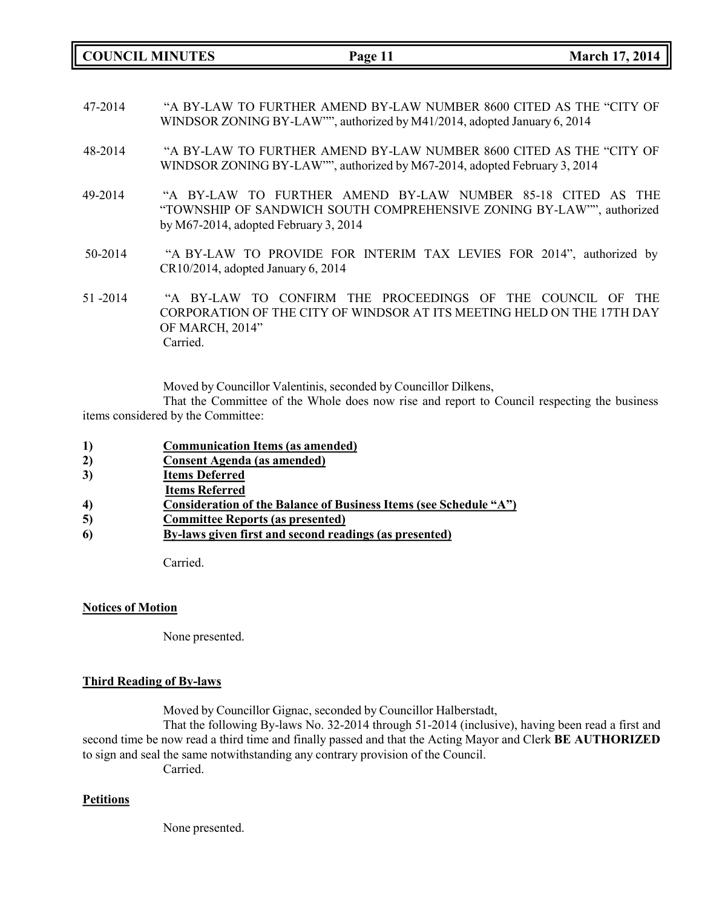**COUNCIL MINUTES Page 11 March 17, 2014**

- 47-2014 "A BY-LAW TO FURTHER AMEND BY-LAW NUMBER 8600 CITED AS THE "CITY OF WINDSOR ZONING BY-LAW"", authorized by M41/2014, adopted January 6, 2014
- 48-2014 "A BY-LAW TO FURTHER AMEND BY-LAW NUMBER 8600 CITED AS THE "CITY OF WINDSOR ZONING BY-LAW"", authorized by M67-2014, adopted February 3, 2014
- 49-2014 "A BY-LAW TO FURTHER AMEND BY-LAW NUMBER 85-18 CITED AS THE "TOWNSHIP OF SANDWICH SOUTH COMPREHENSIVE ZONING BY-LAW"", authorized by M67-2014, adopted February 3, 2014
- 50-2014 "A BY-LAW TO PROVIDE FOR INTERIM TAX LEVIES FOR 2014", authorized by CR10/2014, adopted January 6, 2014
- 51 -2014 "A BY-LAW TO CONFIRM THE PROCEEDINGS OF THE COUNCIL OF THE CORPORATION OF THE CITY OF WINDSOR AT ITS MEETING HELD ON THE 17TH DAY OF MARCH, 2014" Carried.

Moved by Councillor Valentinis, seconded by Councillor Dilkens,

That the Committee of the Whole does now rise and report to Council respecting the business items considered by the Committee:

- **1) Communication Items (as amended)**
- **2) Consent Agenda (as amended)**
- **3) Items Deferred**
- **Items Referred**
- **4) Consideration of the Balance of Business Items (see Schedule "A")**
- **5) Committee Reports (as presented)**
- **6) By-laws given first and second readings (as presented)**

Carried.

#### **Notices of Motion**

None presented.

## **Third Reading of By-laws**

Moved by Councillor Gignac, seconded by Councillor Halberstadt,

That the following By-laws No. 32-2014 through 51-2014 (inclusive), having been read a first and second time be now read a third time and finally passed and that the Acting Mayor and Clerk **BE AUTHORIZED** to sign and seal the same notwithstanding any contrary provision of the Council.

Carried.

## **Petitions**

None presented.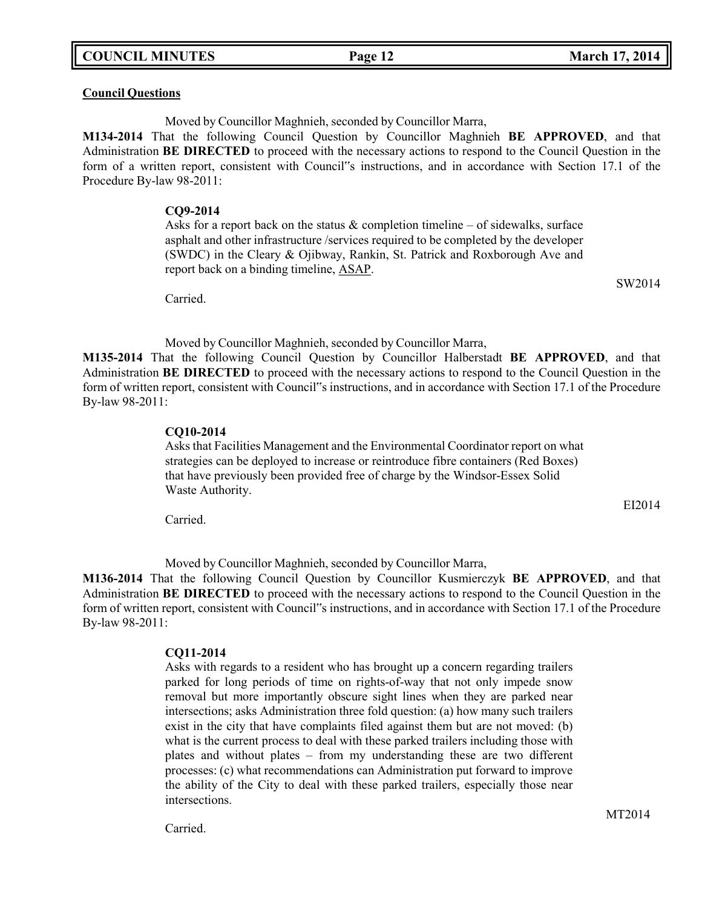### **Council Questions**

Moved by Councillor Maghnieh, seconded by Councillor Marra,

**M134-2014** That the following Council Question by Councillor Maghnieh **BE APPROVED**, and that Administration **BE DIRECTED** to proceed with the necessary actions to respond to the Council Question in the form of a written report, consistent with Council"s instructions, and in accordance with Section 17.1 of the Procedure By-law 98-2011:

#### **CQ9-2014**

Asks for a report back on the status  $\&$  completion timeline – of sidewalks, surface asphalt and other infrastructure /services required to be completed by the developer (SWDC) in the Cleary & Ojibway, Rankin, St. Patrick and Roxborough Ave and report back on a binding timeline, ASAP.

Carried.

Moved by Councillor Maghnieh, seconded by Councillor Marra,

**M135-2014** That the following Council Question by Councillor Halberstadt **BE APPROVED**, and that Administration **BE DIRECTED** to proceed with the necessary actions to respond to the Council Question in the form of written report, consistent with Council"s instructions, and in accordance with Section 17.1 of the Procedure By-law 98-2011:

#### **CQ10-2014**

Asks that Facilities Management and the Environmental Coordinator report on what strategies can be deployed to increase or reintroduce fibre containers (Red Boxes) that have previously been provided free of charge by the Windsor-Essex Solid Waste Authority.

Carried.

Moved by Councillor Maghnieh, seconded by Councillor Marra,

**M136-2014** That the following Council Question by Councillor Kusmierczyk **BE APPROVED**, and that Administration **BE DIRECTED** to proceed with the necessary actions to respond to the Council Question in the form of written report, consistent with Council"s instructions, and in accordance with Section 17.1 of the Procedure By-law 98-2011:

#### **CQ11-2014**

Asks with regards to a resident who has brought up a concern regarding trailers parked for long periods of time on rights-of-way that not only impede snow removal but more importantly obscure sight lines when they are parked near intersections; asks Administration three fold question: (a) how many such trailers exist in the city that have complaints filed against them but are not moved: (b) what is the current process to deal with these parked trailers including those with plates and without plates – from my understanding these are two different processes: (c) what recommendations can Administration put forward to improve the ability of the City to deal with these parked trailers, especially those near intersections.

Carried.

SW2014

EI2014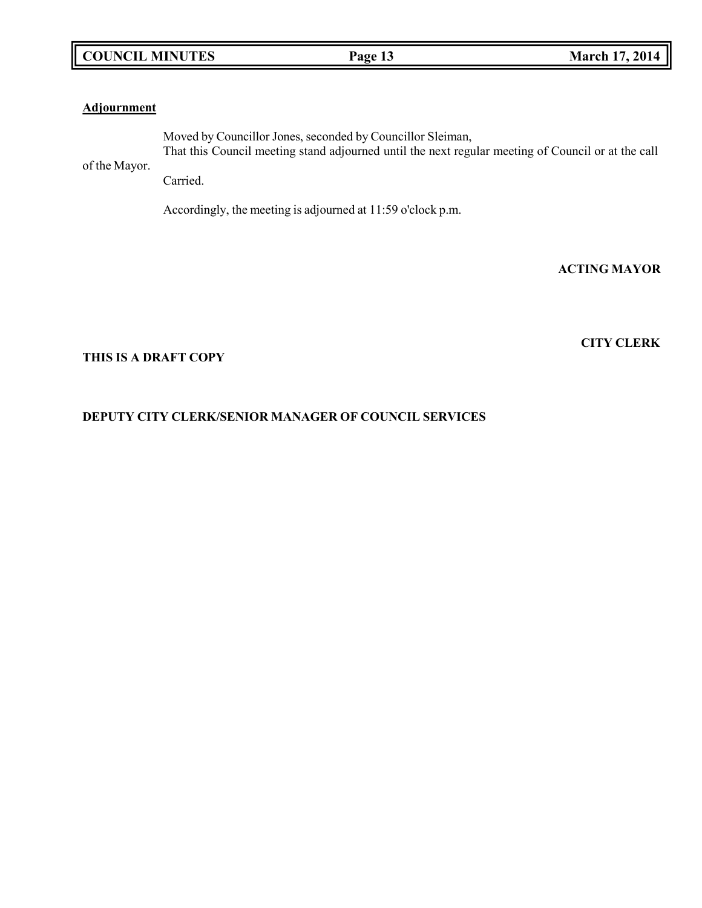# **COUNCIL MINUTES Page 13 March 17, 2014**

# **Adjournment**

of the Mayor. Moved by Councillor Jones, seconded by Councillor Sleiman, That this Council meeting stand adjourned until the next regular meeting of Council or at the call

Carried.

Accordingly, the meeting is adjourned at 11:59 o'clock p.m.

**ACTING MAYOR**

**CITY CLERK**

## **THIS IS A DRAFT COPY**

# **DEPUTY CITY CLERK/SENIOR MANAGER OF COUNCIL SERVICES**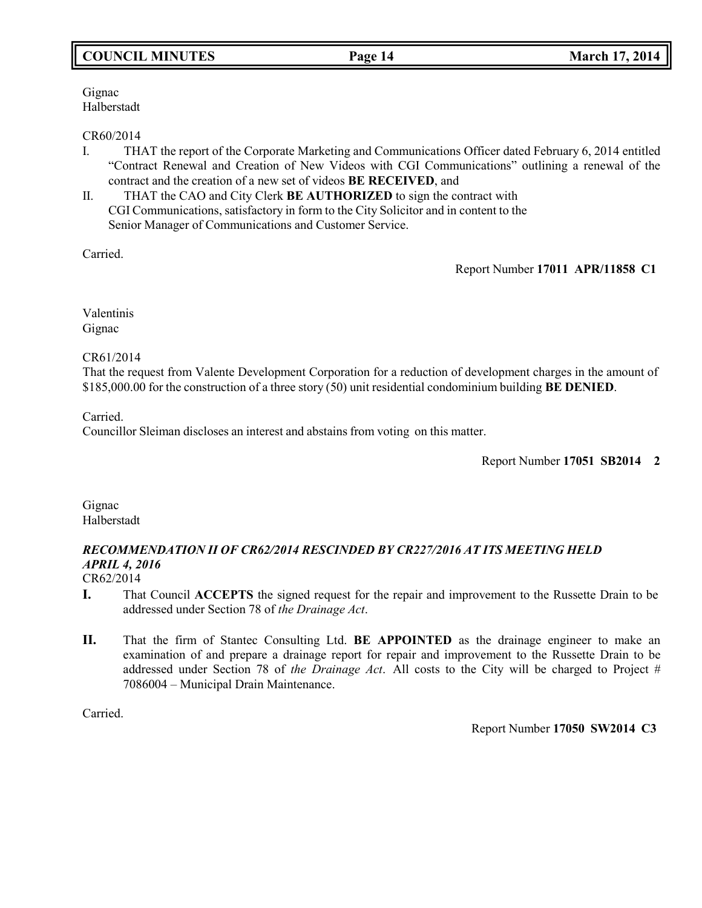# **COUNCIL MINUTES Page 14 March 17, 2014**

Gignac Halberstadt

### CR60/2014

- I. THAT the report of the Corporate Marketing and Communications Officer dated February 6, 2014 entitled "Contract Renewal and Creation of New Videos with CGI Communications" outlining a renewal of the contract and the creation of a new set of videos **BE RECEIVED**, and
- II. THAT the CAO and City Clerk **BE AUTHORIZED** to sign the contract with CGI Communications, satisfactory in form to the City Solicitor and in content to the Senior Manager of Communications and Customer Service.

Carried.

Report Number **17011 APR/11858 C1**

Valentinis Gignac

## CR61/2014

That the request from Valente Development Corporation for a reduction of development charges in the amount of \$185,000.00 for the construction of a three story (50) unit residential condominium building **BE DENIED**.

Carried.

Councillor Sleiman discloses an interest and abstains from voting on this matter.

Report Number **17051 SB2014 2**

Gignac Halberstadt

# *RECOMMENDATION II OF CR62/2014 RESCINDED BY CR227/2016 AT ITS MEETING HELD APRIL 4, 2016*

CR62/2014

- **I.** That Council **ACCEPTS** the signed request for the repair and improvement to the Russette Drain to be addressed under Section 78 of *the Drainage Act*.
- **II.** That the firm of Stantec Consulting Ltd. **BE APPOINTED** as the drainage engineer to make an examination of and prepare a drainage report for repair and improvement to the Russette Drain to be addressed under Section 78 of *the Drainage Act*. All costs to the City will be charged to Project # 7086004 – Municipal Drain Maintenance.

Carried.

Report Number **17050 SW2014 C3**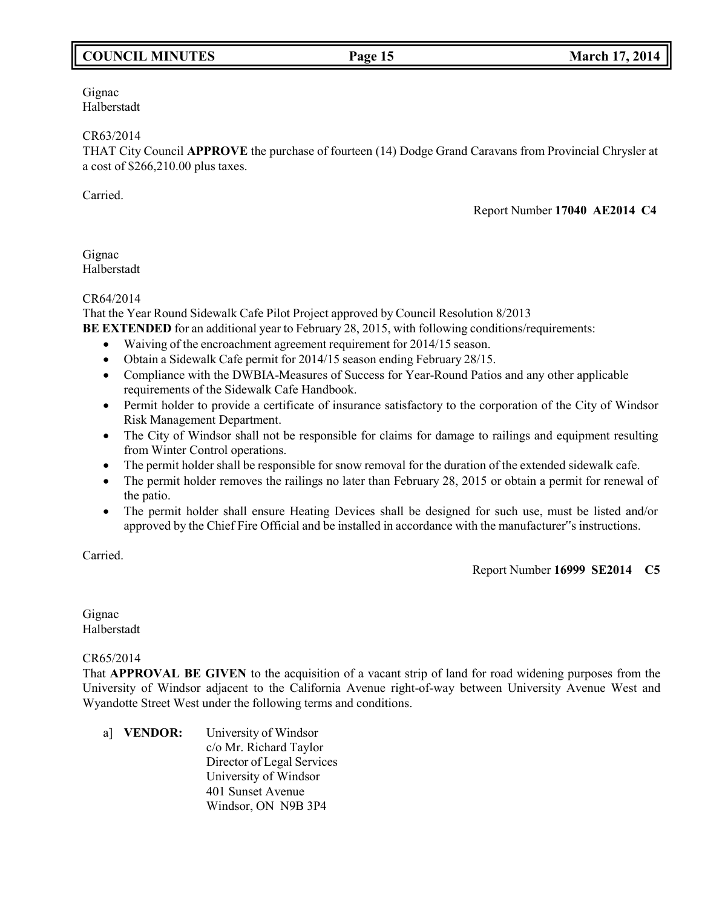# **COUNCIL MINUTES Page 15 March 17, 2014**

Gignac Halberstadt

### CR63/2014

THAT City Council **APPROVE** the purchase of fourteen (14) Dodge Grand Caravans from Provincial Chrysler at a cost of \$266,210.00 plus taxes.

Carried.

Report Number **17040 AE2014 C4**

Gignac Halberstadt

### CR64/2014

That the Year Round Sidewalk Cafe Pilot Project approved by Council Resolution 8/2013 **BE EXTENDED** for an additional year to February 28, 2015, with following conditions/requirements:

- Waiving of the encroachment agreement requirement for 2014/15 season.
- Obtain a Sidewalk Cafe permit for 2014/15 season ending February 28/15.
- Compliance with the DWBIA-Measures of Success for Year-Round Patios and any other applicable requirements of the Sidewalk Cafe Handbook.
- Permit holder to provide a certificate of insurance satisfactory to the corporation of the City of Windsor Risk Management Department.
- The City of Windsor shall not be responsible for claims for damage to railings and equipment resulting from Winter Control operations.
- The permit holder shall be responsible for snow removal for the duration of the extended sidewalk cafe.
- The permit holder removes the railings no later than February 28, 2015 or obtain a permit for renewal of the patio.
- The permit holder shall ensure Heating Devices shall be designed for such use, must be listed and/or approved by the Chief Fire Official and be installed in accordance with the manufacturer"s instructions.

Carried.

Report Number **16999 SE2014 C5**

Gignac Halberstadt

## CR65/2014

That **APPROVAL BE GIVEN** to the acquisition of a vacant strip of land for road widening purposes from the University of Windsor adjacent to the California Avenue right-of-way between University Avenue West and Wyandotte Street West under the following terms and conditions.

a] **VENDOR:** University of Windsor c/o Mr. Richard Taylor Director of Legal Services University of Windsor 401 Sunset Avenue Windsor, ON N9B 3P4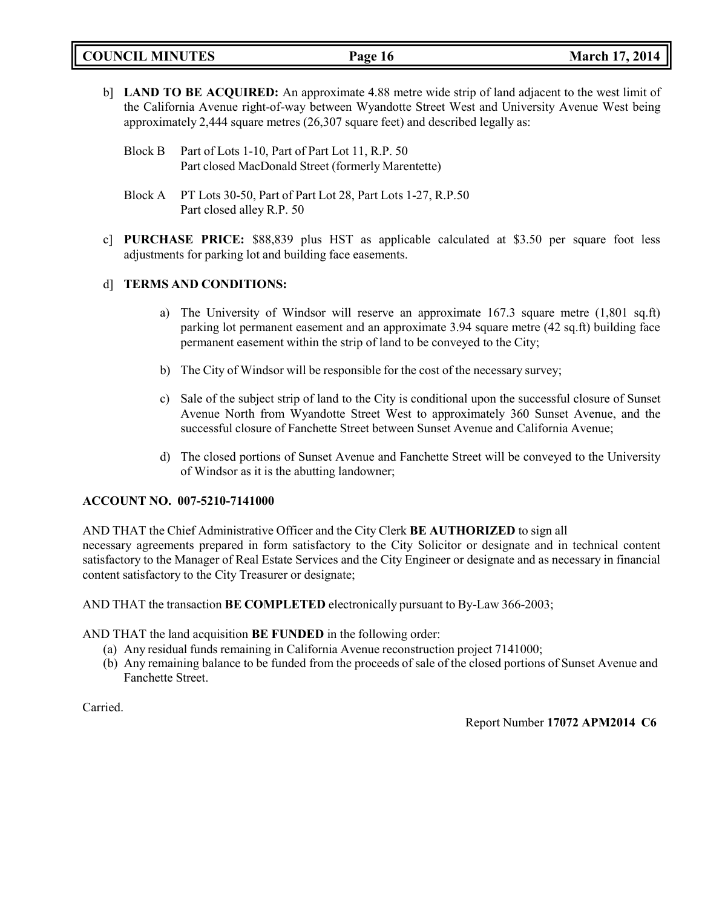**COUNCIL MINUTES Page 16 March 17, 2014**

b] **LAND TO BE ACQUIRED:** An approximate 4.88 metre wide strip of land adjacent to the west limit of the California Avenue right-of-way between Wyandotte Street West and University Avenue West being approximately 2,444 square metres (26,307 square feet) and described legally as:

- Block A PT Lots 30-50, Part of Part Lot 28, Part Lots 1-27, R.P.50 Part closed alley R.P. 50
- c] **PURCHASE PRICE:** \$88,839 plus HST as applicable calculated at \$3.50 per square foot less adjustments for parking lot and building face easements.

# d] **TERMS AND CONDITIONS:**

- a) The University of Windsor will reserve an approximate 167.3 square metre (1,801 sq.ft) parking lot permanent easement and an approximate 3.94 square metre (42 sq.ft) building face permanent easement within the strip of land to be conveyed to the City;
- b) The City of Windsor will be responsible for the cost of the necessary survey;
- c) Sale of the subject strip of land to the City is conditional upon the successful closure of Sunset Avenue North from Wyandotte Street West to approximately 360 Sunset Avenue, and the successful closure of Fanchette Street between Sunset Avenue and California Avenue;
- d) The closed portions of Sunset Avenue and Fanchette Street will be conveyed to the University of Windsor as it is the abutting landowner;

# **ACCOUNT NO. 007-5210-7141000**

AND THAT the Chief Administrative Officer and the City Clerk **BE AUTHORIZED** to sign all necessary agreements prepared in form satisfactory to the City Solicitor or designate and in technical content satisfactory to the Manager of Real Estate Services and the City Engineer or designate and as necessary in financial content satisfactory to the City Treasurer or designate;

AND THAT the transaction **BE COMPLETED** electronically pursuant to By-Law 366-2003;

AND THAT the land acquisition **BE FUNDED** in the following order:

- (a) Any residual funds remaining in California Avenue reconstruction project 7141000;
- (b) Any remaining balance to be funded from the proceeds of sale of the closed portions of Sunset Avenue and Fanchette Street.

Carried.

Report Number **17072 APM2014 C6**

Block B Part of Lots 1-10, Part of Part Lot 11, R.P. 50 Part closed MacDonald Street (formerly Marentette)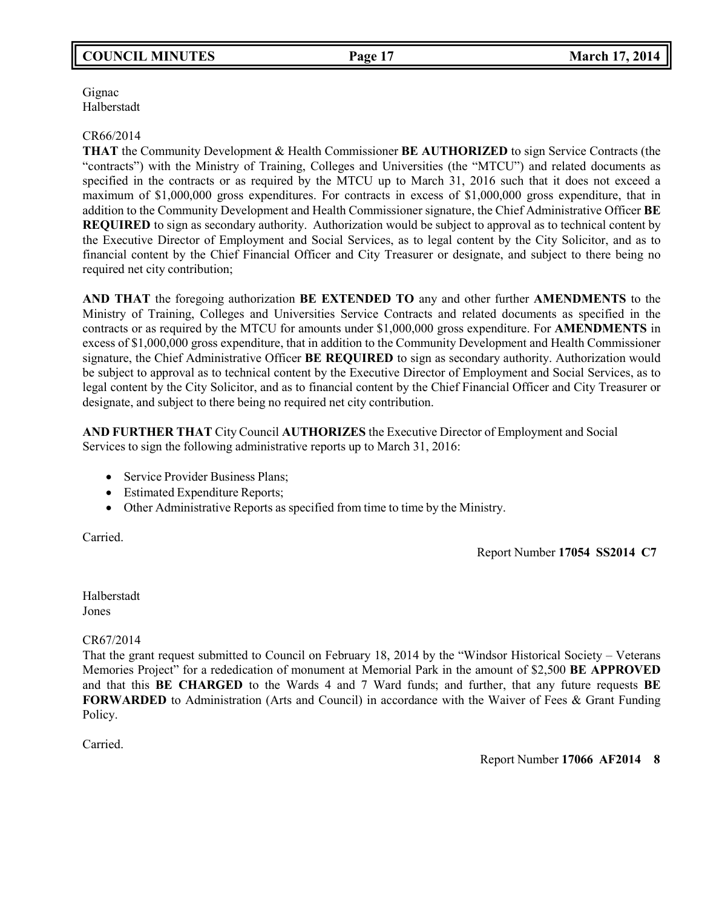# **COUNCIL MINUTES Page 17 March 17, 2014**

Gignac Halberstadt

### CR66/2014

**THAT** the Community Development & Health Commissioner **BE AUTHORIZED** to sign Service Contracts (the "contracts") with the Ministry of Training, Colleges and Universities (the "MTCU") and related documents as specified in the contracts or as required by the MTCU up to March 31, 2016 such that it does not exceed a maximum of \$1,000,000 gross expenditures. For contracts in excess of \$1,000,000 gross expenditure, that in addition to the Community Development and Health Commissioner signature, the Chief Administrative Officer **BE REQUIRED** to sign as secondary authority. Authorization would be subject to approval as to technical content by the Executive Director of Employment and Social Services, as to legal content by the City Solicitor, and as to financial content by the Chief Financial Officer and City Treasurer or designate, and subject to there being no required net city contribution;

**AND THAT** the foregoing authorization **BE EXTENDED TO** any and other further **AMENDMENTS** to the Ministry of Training, Colleges and Universities Service Contracts and related documents as specified in the contracts or as required by the MTCU for amounts under \$1,000,000 gross expenditure. For **AMENDMENTS** in excess of \$1,000,000 gross expenditure, that in addition to the Community Development and Health Commissioner signature, the Chief Administrative Officer **BE REQUIRED** to sign as secondary authority. Authorization would be subject to approval as to technical content by the Executive Director of Employment and Social Services, as to legal content by the City Solicitor, and as to financial content by the Chief Financial Officer and City Treasurer or designate, and subject to there being no required net city contribution.

**AND FURTHER THAT** City Council **AUTHORIZES** the Executive Director of Employment and Social Services to sign the following administrative reports up to March 31, 2016:

- Service Provider Business Plans;
- Estimated Expenditure Reports;
- Other Administrative Reports as specified from time to time by the Ministry.

Carried.

Report Number **17054 SS2014 C7**

Halberstadt Jones

## CR67/2014

That the grant request submitted to Council on February 18, 2014 by the "Windsor Historical Society – Veterans Memories Project" for a rededication of monument at Memorial Park in the amount of \$2,500 **BE APPROVED** and that this **BE CHARGED** to the Wards 4 and 7 Ward funds; and further, that any future requests **BE FORWARDED** to Administration (Arts and Council) in accordance with the Waiver of Fees & Grant Funding Policy.

Carried.

Report Number **17066 AF2014 8**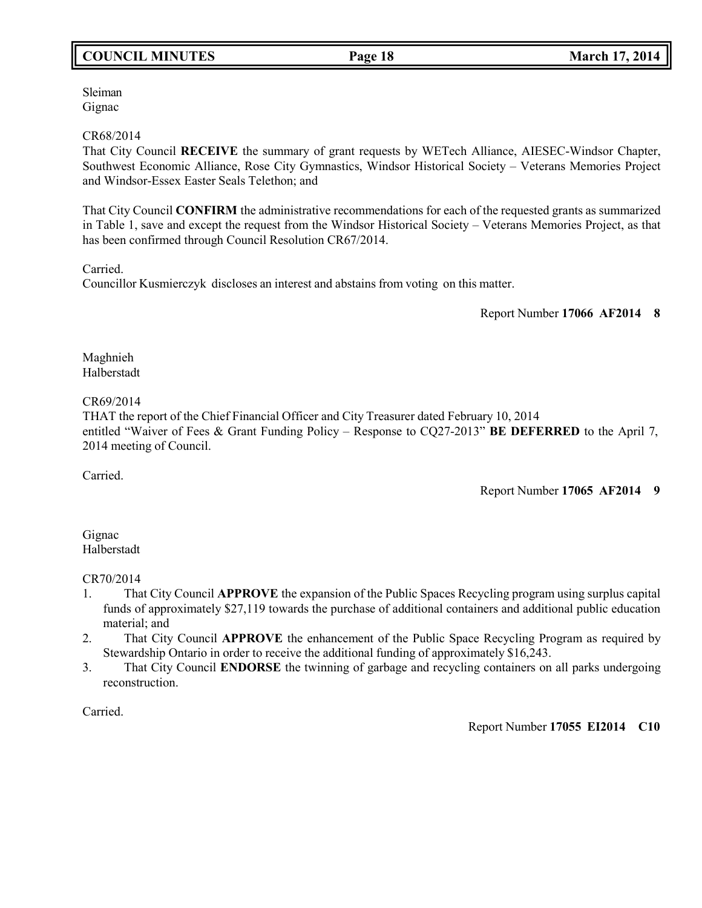# **COUNCIL MINUTES Page 18 March 17, 2014**

Sleiman Gignac

## CR68/2014

That City Council **RECEIVE** the summary of grant requests by WETech Alliance, AIESEC-Windsor Chapter, Southwest Economic Alliance, Rose City Gymnastics, Windsor Historical Society – Veterans Memories Project and Windsor-Essex Easter Seals Telethon; and

That City Council **CONFIRM** the administrative recommendations for each of the requested grants as summarized in Table 1, save and except the request from the Windsor Historical Society – Veterans Memories Project, as that has been confirmed through Council Resolution CR67/2014.

Carried.

Councillor Kusmierczyk discloses an interest and abstains from voting on this matter.

Report Number **17066 AF2014 8**

Maghnieh Halberstadt

## CR69/2014

THAT the report of the Chief Financial Officer and City Treasurer dated February 10, 2014 entitled "Waiver of Fees & Grant Funding Policy – Response to CQ27-2013" **BE DEFERRED** to the April 7, 2014 meeting of Council.

Carried.

Report Number **17065 AF2014 9**

## Gignac Halberstadt

# CR70/2014

- 1. That City Council **APPROVE** the expansion of the Public Spaces Recycling program using surplus capital funds of approximately \$27,119 towards the purchase of additional containers and additional public education material; and
- 2. That City Council **APPROVE** the enhancement of the Public Space Recycling Program as required by Stewardship Ontario in order to receive the additional funding of approximately \$16,243.
- 3. That City Council **ENDORSE** the twinning of garbage and recycling containers on all parks undergoing reconstruction.

Carried.

## Report Number **17055 EI2014 C10**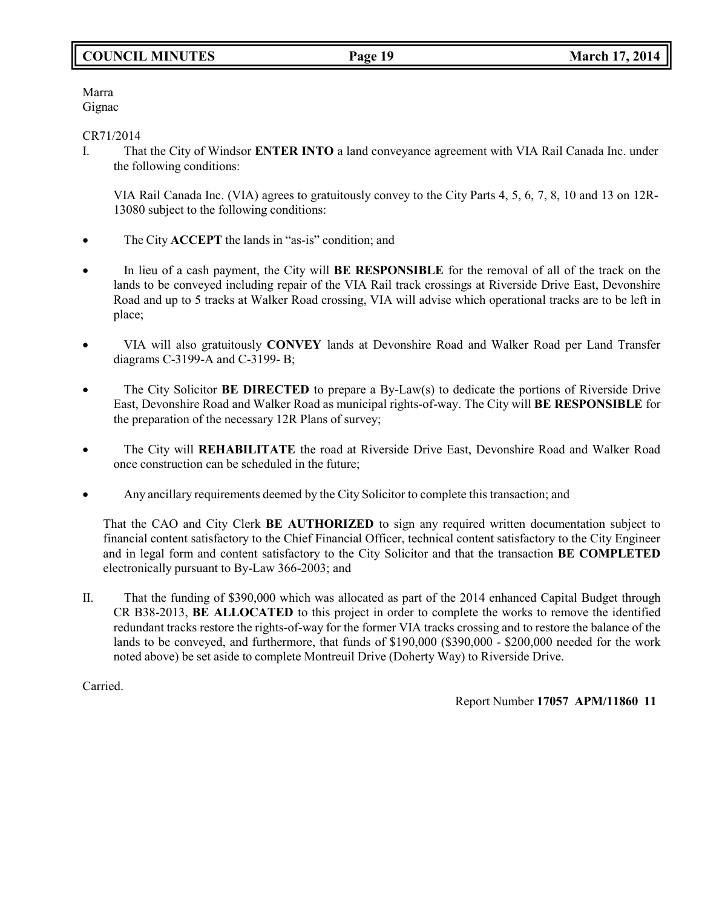# **COUNCIL MINUTES Page 19 March 17, 2014**

Marra Gignac

CR71/2014

I. That the City of Windsor **ENTER INTO** a land conveyance agreement with VIA Rail Canada Inc. under the following conditions:

VIA Rail Canada Inc. (VIA) agrees to gratuitously convey to the City Parts 4, 5, 6, 7, 8, 10 and 13 on 12R-13080 subject to the following conditions:

- The City **ACCEPT** the lands in "as-is" condition; and
- In lieu of a cash payment, the City will **BE RESPONSIBLE** for the removal of all of the track on the lands to be conveyed including repair of the VIA Rail track crossings at Riverside Drive East, Devonshire Road and up to 5 tracks at Walker Road crossing, VIA will advise which operational tracks are to be left in place;
- VIA will also gratuitously **CONVEY** lands at Devonshire Road and Walker Road per Land Transfer diagrams C-3199-A and C-3199- B;
- The City Solicitor **BE DIRECTED** to prepare a By-Law(s) to dedicate the portions of Riverside Drive East, Devonshire Road and Walker Road as municipal rights-of-way. The City will **BE RESPONSIBLE** for the preparation of the necessary 12R Plans of survey;
- The City will **REHABILITATE** the road at Riverside Drive East, Devonshire Road and Walker Road once construction can be scheduled in the future;
- Any ancillary requirements deemed by the City Solicitor to complete this transaction; and

That the CAO and City Clerk **BE AUTHORIZED** to sign any required written documentation subject to financial content satisfactory to the Chief Financial Officer, technical content satisfactory to the City Engineer and in legal form and content satisfactory to the City Solicitor and that the transaction **BE COMPLETED** electronically pursuant to By-Law 366-2003; and

II. That the funding of \$390,000 which was allocated as part of the 2014 enhanced Capital Budget through CR B38-2013, **BE ALLOCATED** to this project in order to complete the works to remove the identified redundant tracks restore the rights-of-way for the former VIA tracks crossing and to restore the balance of the lands to be conveyed, and furthermore, that funds of \$190,000 (\$390,000 - \$200,000 needed for the work noted above) be set aside to complete Montreuil Drive (Doherty Way) to Riverside Drive.

Carried.

Report Number **17057 APM/11860 11**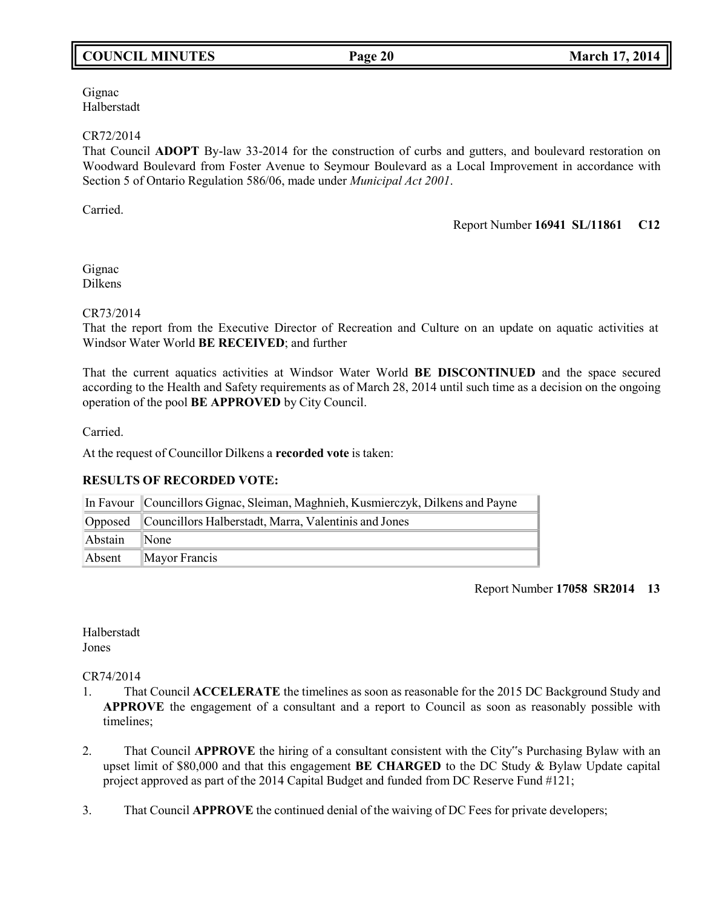# **COUNCIL MINUTES Page 20 March 17, 2014**

Gignac Halberstadt

### CR72/2014

That Council **ADOPT** By-law 33-2014 for the construction of curbs and gutters, and boulevard restoration on Woodward Boulevard from Foster Avenue to Seymour Boulevard as a Local Improvement in accordance with Section 5 of Ontario Regulation 586/06, made under *Municipal Act 2001*.

Carried.

Report Number **16941 SL/11861 C12**

Gignac Dilkens

### CR73/2014

That the report from the Executive Director of Recreation and Culture on an update on aquatic activities at Windsor Water World **BE RECEIVED**; and further

That the current aquatics activities at Windsor Water World **BE DISCONTINUED** and the space secured according to the Health and Safety requirements as of March 28, 2014 until such time as a decision on the ongoing operation of the pool **BE APPROVED** by City Council.

Carried.

At the request of Councillor Dilkens a **recorded vote** is taken:

## **RESULTS OF RECORDED VOTE:**

|         | In Favour Councillors Gignac, Sleiman, Maghnieh, Kusmierczyk, Dilkens and Payne |
|---------|---------------------------------------------------------------------------------|
|         | Opposed Councillors Halberstadt, Marra, Valentinis and Jones                    |
| Abstain | $\mathbb{N}$ one                                                                |
| Absent  | $\mathbb{M}$ ayor Francis                                                       |

#### Report Number **17058 SR2014 13**

Halberstadt Jones

#### CR74/2014

- 1. That Council **ACCELERATE** the timelines as soon as reasonable for the 2015 DC Background Study and **APPROVE** the engagement of a consultant and a report to Council as soon as reasonably possible with timelines;
- 2. That Council **APPROVE** the hiring of a consultant consistent with the City"s Purchasing Bylaw with an upset limit of \$80,000 and that this engagement **BE CHARGED** to the DC Study & Bylaw Update capital project approved as part of the 2014 Capital Budget and funded from DC Reserve Fund #121;
- 3. That Council **APPROVE** the continued denial of the waiving of DC Fees for private developers;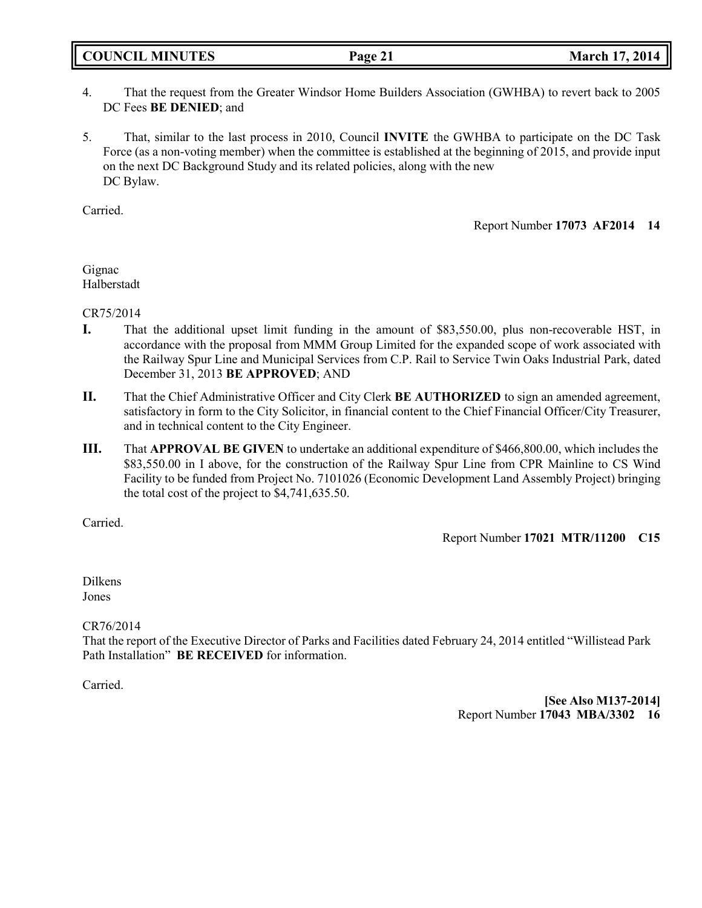**COUNCIL MINUTES Page 21 March 17, 2014**

- 4. That the request from the Greater Windsor Home Builders Association (GWHBA) to revert back to 2005 DC Fees **BE DENIED**; and
- 5. That, similar to the last process in 2010, Council **INVITE** the GWHBA to participate on the DC Task Force (as a non-voting member) when the committee is established at the beginning of 2015, and provide input on the next DC Background Study and its related policies, along with the new DC Bylaw.

Carried.

Report Number **17073 AF2014 14**

Gignac Halberstadt

CR75/2014

- **I.** That the additional upset limit funding in the amount of \$83,550.00, plus non-recoverable HST, in accordance with the proposal from MMM Group Limited for the expanded scope of work associated with the Railway Spur Line and Municipal Services from C.P. Rail to Service Twin Oaks Industrial Park, dated December 31, 2013 **BE APPROVED**; AND
- **II.** That the Chief Administrative Officer and City Clerk **BE AUTHORIZED** to sign an amended agreement, satisfactory in form to the City Solicitor, in financial content to the Chief Financial Officer/City Treasurer, and in technical content to the City Engineer.
- **III.** That **APPROVAL BE GIVEN** to undertake an additional expenditure of \$466,800.00, which includes the \$83,550.00 in I above, for the construction of the Railway Spur Line from CPR Mainline to CS Wind Facility to be funded from Project No. 7101026 (Economic Development Land Assembly Project) bringing the total cost of the project to \$4,741,635.50.

Carried.

Report Number **17021 MTR/11200 C15**

Dilkens Jones

CR76/2014

That the report of the Executive Director of Parks and Facilities dated February 24, 2014 entitled "Willistead Park Path Installation" **BE RECEIVED** for information.

Carried.

**[See Also M137-2014]** Report Number **17043 MBA/3302 16**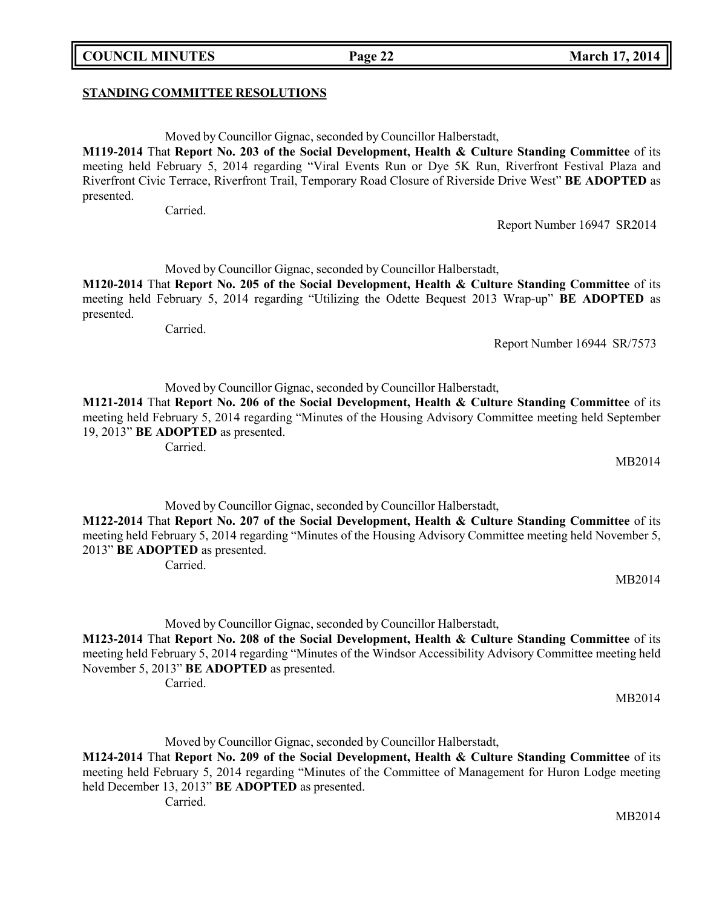## **STANDING COMMITTEE RESOLUTIONS**

Moved by Councillor Gignac, seconded by Councillor Halberstadt,

**M119-2014** That **Report No. 203 of the Social Development, Health & Culture Standing Committee** of its meeting held February 5, 2014 regarding "Viral Events Run or Dye 5K Run, Riverfront Festival Plaza and Riverfront Civic Terrace, Riverfront Trail, Temporary Road Closure of Riverside Drive West" **BE ADOPTED** as presented.

Carried.

Report Number 16947 SR2014

Moved by Councillor Gignac, seconded by Councillor Halberstadt,

**M120-2014** That **Report No. 205 of the Social Development, Health & Culture Standing Committee** of its meeting held February 5, 2014 regarding "Utilizing the Odette Bequest 2013 Wrap-up" **BE ADOPTED** as presented.

Carried.

Report Number 16944 SR/7573

Moved by Councillor Gignac, seconded by Councillor Halberstadt,

**M121-2014** That **Report No. 206 of the Social Development, Health & Culture Standing Committee** of its meeting held February 5, 2014 regarding "Minutes of the Housing Advisory Committee meeting held September 19, 2013" **BE ADOPTED** as presented.

Carried.

Moved by Councillor Gignac, seconded by Councillor Halberstadt,

**M122-2014** That **Report No. 207 of the Social Development, Health & Culture Standing Committee** of its meeting held February 5, 2014 regarding "Minutes of the Housing Advisory Committee meeting held November 5, 2013" **BE ADOPTED** as presented.

Carried.

MB2014

MB2014

MB2014

Moved by Councillor Gignac, seconded by Councillor Halberstadt,

**M123-2014** That **Report No. 208 of the Social Development, Health & Culture Standing Committee** of its meeting held February 5, 2014 regarding "Minutes of the Windsor Accessibility Advisory Committee meeting held November 5, 2013" **BE ADOPTED** as presented.

Carried.

Moved by Councillor Gignac, seconded by Councillor Halberstadt,

**M124-2014** That **Report No. 209 of the Social Development, Health & Culture Standing Committee** of its meeting held February 5, 2014 regarding "Minutes of the Committee of Management for Huron Lodge meeting held December 13, 2013" **BE ADOPTED** as presented.

Carried.

**COUNCIL MINUTES Page 22 March 17, 2014**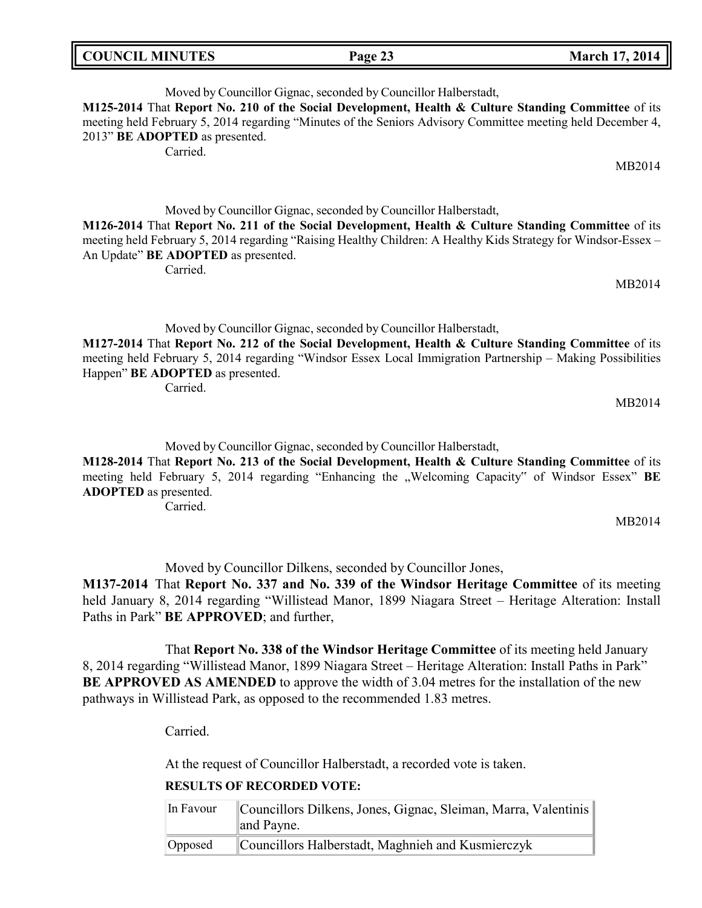| <b>COUNCIL MINUTES</b> | Page 23 | <b>March 17, 2014</b> |
|------------------------|---------|-----------------------|
|------------------------|---------|-----------------------|

Moved by Councillor Gignac, seconded by Councillor Halberstadt, **M125-2014** That **Report No. 210 of the Social Development, Health & Culture Standing Committee** of its meeting held February 5, 2014 regarding "Minutes of the Seniors Advisory Committee meeting held December 4, 2013" **BE ADOPTED** as presented.

Carried.

Moved by Councillor Gignac, seconded by Councillor Halberstadt,

**M126-2014** That **Report No. 211 of the Social Development, Health & Culture Standing Committee** of its meeting held February 5, 2014 regarding "Raising Healthy Children: A Healthy Kids Strategy for Windsor-Essex – An Update" **BE ADOPTED** as presented.

Carried.

Moved by Councillor Gignac, seconded by Councillor Halberstadt,

**M127-2014** That **Report No. 212 of the Social Development, Health & Culture Standing Committee** of its meeting held February 5, 2014 regarding "Windsor Essex Local Immigration Partnership – Making Possibilities Happen" **BE ADOPTED** as presented.

Carried.

MB2014

MB2014

MB2014

Moved by Councillor Gignac, seconded by Councillor Halberstadt,

**M128-2014** That **Report No. 213 of the Social Development, Health & Culture Standing Committee** of its meeting held February 5, 2014 regarding "Enhancing the "Welcoming Capacity" of Windsor Essex" **BE ADOPTED** as presented.

Carried.

MB2014

Moved by Councillor Dilkens, seconded by Councillor Jones,

**M137-2014** That **Report No. 337 and No. 339 of the Windsor Heritage Committee** of its meeting held January 8, 2014 regarding "Willistead Manor, 1899 Niagara Street – Heritage Alteration: Install Paths in Park" **BE APPROVED**; and further,

That **Report No. 338 of the Windsor Heritage Committee** of its meeting held January 8, 2014 regarding "Willistead Manor, 1899 Niagara Street – Heritage Alteration: Install Paths in Park" **BE APPROVED AS AMENDED** to approve the width of 3.04 metres for the installation of the new pathways in Willistead Park, as opposed to the recommended 1.83 metres.

Carried.

At the request of Councillor Halberstadt, a recorded vote is taken.

## **RESULTS OF RECORDED VOTE:**

| In Favour | Councillors Dilkens, Jones, Gignac, Sleiman, Marra, Valentinis |  |
|-----------|----------------------------------------------------------------|--|
|           | $\ $ and Payne.                                                |  |
| Opposed   | Councillors Halberstadt, Maghnieh and Kusmierczyk              |  |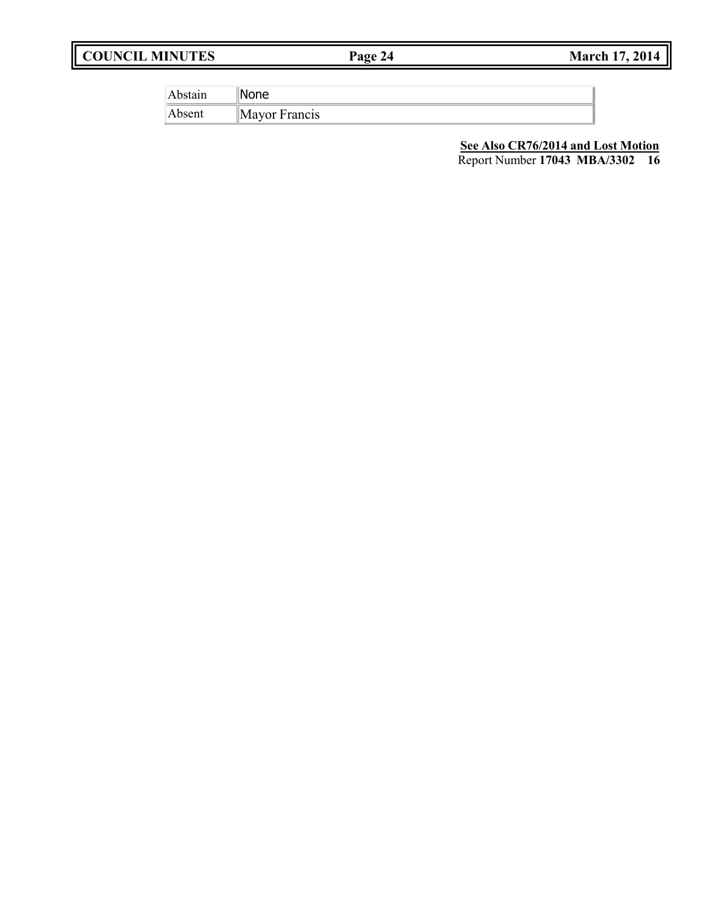# **COUNCIL MINUTES Page 24 March 17, 2014**

| bstain | ിലെ           |
|--------|---------------|
| Absent | Mayor Francis |

**See Also CR76/2014 and Lost Motion**

Report Number **17043 MBA/3302 16**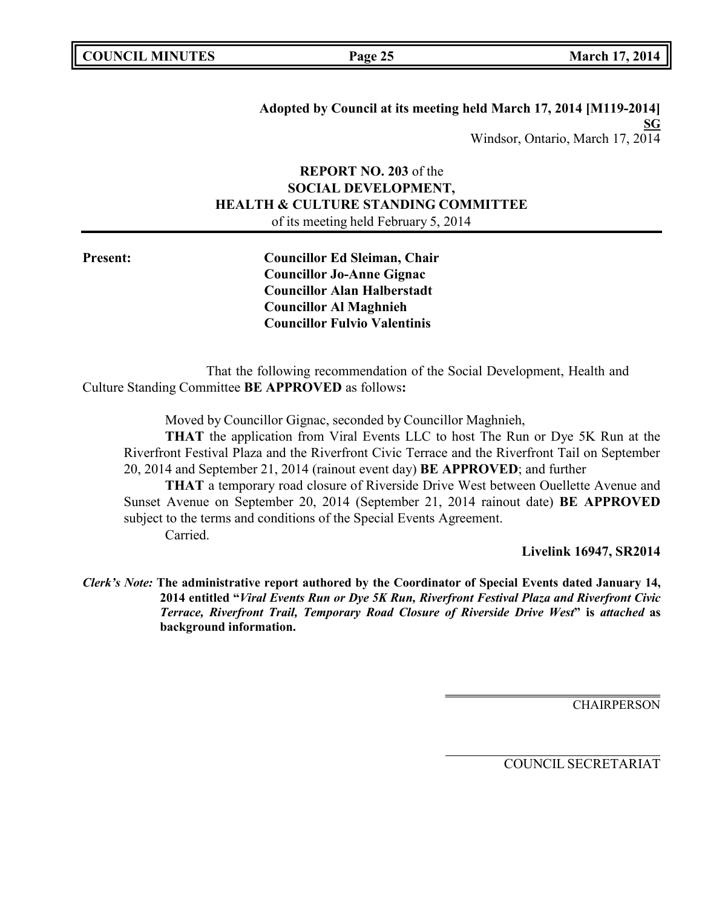# **Adopted by Council at its meeting held March 17, 2014 [M119-2014] SG** Windsor, Ontario, March 17, 2014

# **REPORT NO. 203** of the **SOCIAL DEVELOPMENT, HEALTH & CULTURE STANDING COMMITTEE** of its meeting held February 5, 2014

**Present: Councillor Ed Sleiman, Chair Councillor Jo-Anne Gignac Councillor Alan Halberstadt Councillor Al Maghnieh Councillor Fulvio Valentinis**

That the following recommendation of the Social Development, Health and Culture Standing Committee **BE APPROVED** as follows**:**

Moved by Councillor Gignac, seconded by Councillor Maghnieh,

**THAT** the application from Viral Events LLC to host The Run or Dye 5K Run at the Riverfront Festival Plaza and the Riverfront Civic Terrace and the Riverfront Tail on September 20, 2014 and September 21, 2014 (rainout event day) **BE APPROVED**; and further

**THAT** a temporary road closure of Riverside Drive West between Ouellette Avenue and Sunset Avenue on September 20, 2014 (September 21, 2014 rainout date) **BE APPROVED** subject to the terms and conditions of the Special Events Agreement. Carried.

**Livelink 16947, SR2014**

*Clerk's Note:* **The administrative report authored by the Coordinator of Special Events dated January 14, 2014 entitled "***Viral Events Run or Dye 5K Run, Riverfront Festival Plaza and Riverfront Civic Terrace, Riverfront Trail, Temporary Road Closure of Riverside Drive West***" is** *attached* **as background information.**

**CHAIRPERSON**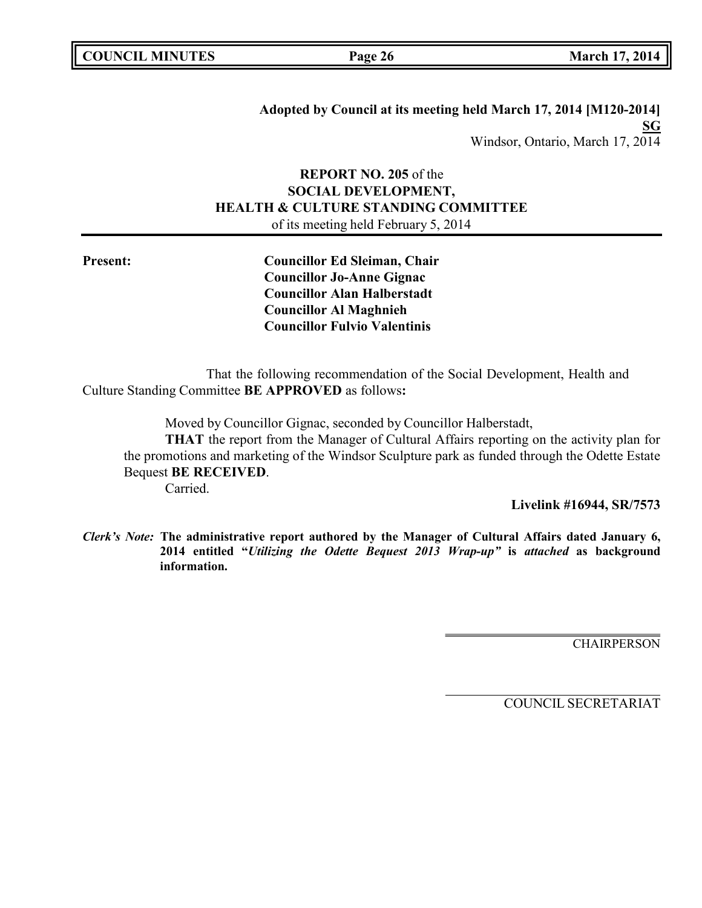|  | <b>COUNCIL MINUTES</b> |
|--|------------------------|
|--|------------------------|

**Adopted by Council at its meeting held March 17, 2014 [M120-2014] SG** Windsor, Ontario, March 17, 2014

# **REPORT NO. 205** of the **SOCIAL DEVELOPMENT, HEALTH & CULTURE STANDING COMMITTEE** of its meeting held February 5, 2014

**Present: Councillor Ed Sleiman, Chair Councillor Jo-Anne Gignac Councillor Alan Halberstadt Councillor Al Maghnieh Councillor Fulvio Valentinis**

That the following recommendation of the Social Development, Health and Culture Standing Committee **BE APPROVED** as follows**:**

Moved by Councillor Gignac, seconded by Councillor Halberstadt,

**THAT** the report from the Manager of Cultural Affairs reporting on the activity plan for the promotions and marketing of the Windsor Sculpture park as funded through the Odette Estate Bequest **BE RECEIVED**.

Carried.

**Livelink #16944, SR/7573**

*Clerk's Note:* **The administrative report authored by the Manager of Cultural Affairs dated January 6, 2014 entitled "***Utilizing the Odette Bequest 2013 Wrap-up"* **is** *attached* **as background information.**

**CHAIRPERSON**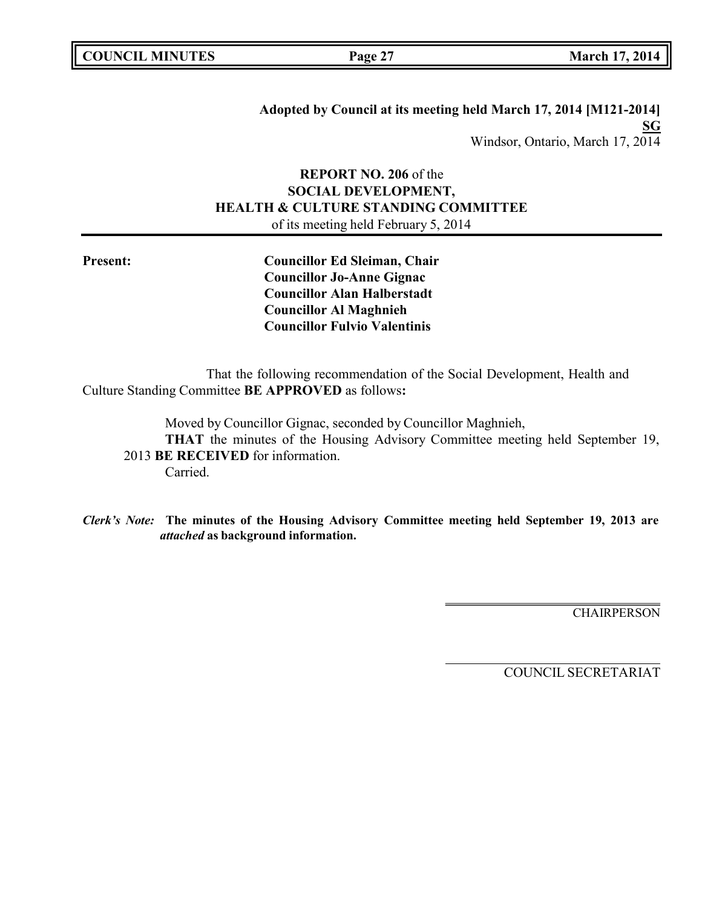|  | <b>COUNCIL MINUTES</b> |
|--|------------------------|
|--|------------------------|

**Adopted by Council at its meeting held March 17, 2014 [M121-2014] SG** Windsor, Ontario, March 17, 2014

# **REPORT NO. 206** of the **SOCIAL DEVELOPMENT, HEALTH & CULTURE STANDING COMMITTEE** of its meeting held February 5, 2014

**Present: Councillor Ed Sleiman, Chair Councillor Jo-Anne Gignac Councillor Alan Halberstadt Councillor Al Maghnieh Councillor Fulvio Valentinis**

That the following recommendation of the Social Development, Health and Culture Standing Committee **BE APPROVED** as follows**:**

Moved by Councillor Gignac, seconded by Councillor Maghnieh, **THAT** the minutes of the Housing Advisory Committee meeting held September 19, 2013 **BE RECEIVED** for information. Carried.

*Clerk's Note:* **The minutes of the Housing Advisory Committee meeting held September 19, 2013 are** *attached* **as background information.**

**CHAIRPERSON**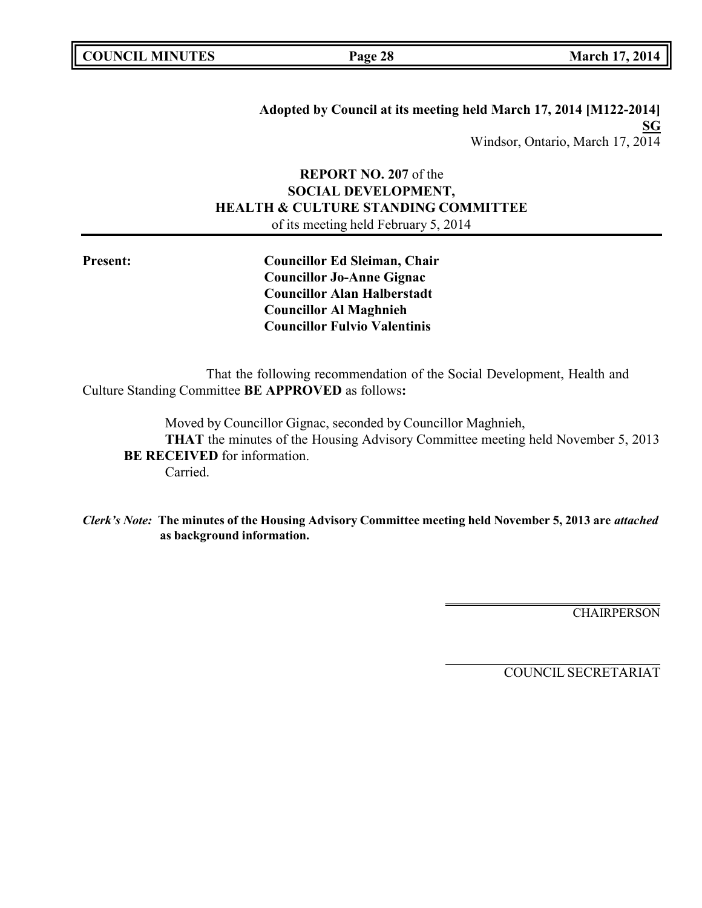|  | <b>COUNCIL MINUTES</b> |
|--|------------------------|
|--|------------------------|

**COUNCIL MINUTES Page 28 March 17, 2014**

**Adopted by Council at its meeting held March 17, 2014 [M122-2014] SG** Windsor, Ontario, March 17, 2014

# **REPORT NO. 207** of the **SOCIAL DEVELOPMENT, HEALTH & CULTURE STANDING COMMITTEE** of its meeting held February 5, 2014

**Present: Councillor Ed Sleiman, Chair Councillor Jo-Anne Gignac Councillor Alan Halberstadt Councillor Al Maghnieh Councillor Fulvio Valentinis**

That the following recommendation of the Social Development, Health and Culture Standing Committee **BE APPROVED** as follows**:**

Moved by Councillor Gignac, seconded by Councillor Maghnieh, **THAT** the minutes of the Housing Advisory Committee meeting held November 5, 2013 **BE RECEIVED** for information. Carried.

*Clerk's Note:* **The minutes of the Housing Advisory Committee meeting held November 5, 2013 are** *attached* **as background information.**

**CHAIRPERSON**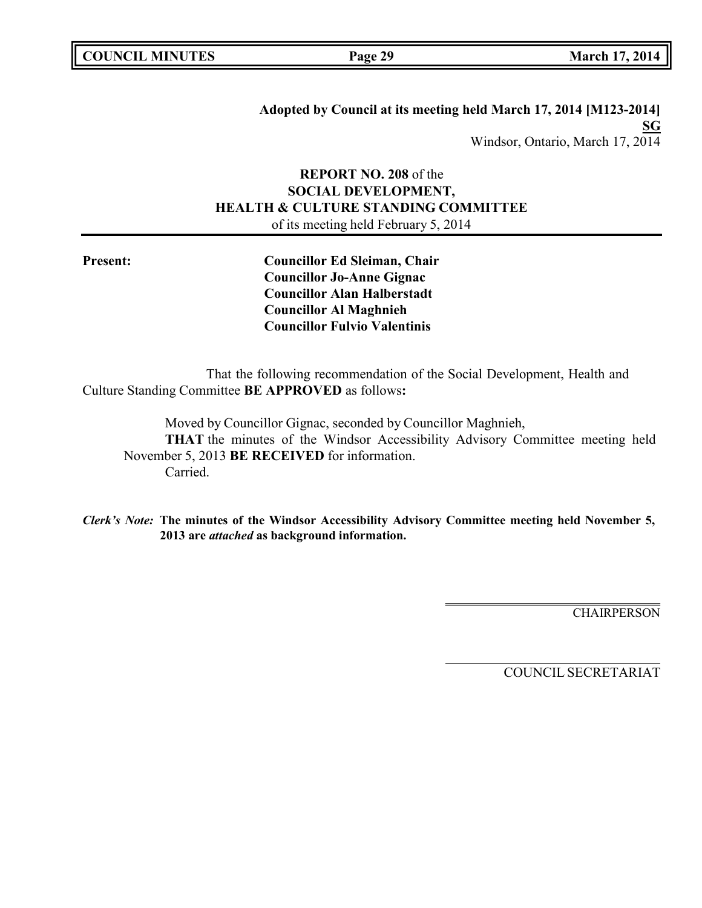|  | <b>COUNCIL MINUTES</b> |
|--|------------------------|
|--|------------------------|

**COUNCIL MINUTES Page 29 March 17, 2014**

**Adopted by Council at its meeting held March 17, 2014 [M123-2014] SG** Windsor, Ontario, March 17, 2014

# **REPORT NO. 208** of the **SOCIAL DEVELOPMENT, HEALTH & CULTURE STANDING COMMITTEE** of its meeting held February 5, 2014

**Present: Councillor Ed Sleiman, Chair Councillor Jo-Anne Gignac Councillor Alan Halberstadt Councillor Al Maghnieh Councillor Fulvio Valentinis**

That the following recommendation of the Social Development, Health and Culture Standing Committee **BE APPROVED** as follows**:**

Moved by Councillor Gignac, seconded by Councillor Maghnieh, **THAT** the minutes of the Windsor Accessibility Advisory Committee meeting held November 5, 2013 **BE RECEIVED** for information. Carried.

*Clerk's Note:* **The minutes of the Windsor Accessibility Advisory Committee meeting held November 5, 2013 are** *attached* **as background information.**

**CHAIRPERSON**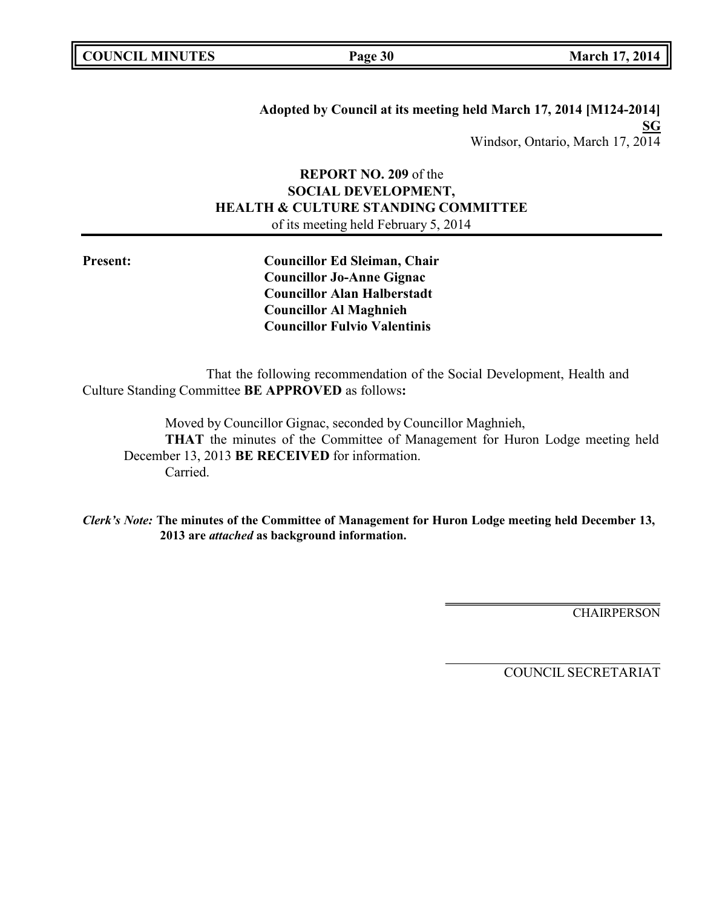|  | <b>COUNCIL MINUTES</b> |
|--|------------------------|
|--|------------------------|

**COUNCIL MINUTES Page 30 March 17, 2014**

**Adopted by Council at its meeting held March 17, 2014 [M124-2014] SG** Windsor, Ontario, March 17, 2014

# **REPORT NO. 209** of the **SOCIAL DEVELOPMENT, HEALTH & CULTURE STANDING COMMITTEE** of its meeting held February 5, 2014

**Present: Councillor Ed Sleiman, Chair Councillor Jo-Anne Gignac Councillor Alan Halberstadt Councillor Al Maghnieh Councillor Fulvio Valentinis**

That the following recommendation of the Social Development, Health and Culture Standing Committee **BE APPROVED** as follows**:**

Moved by Councillor Gignac, seconded by Councillor Maghnieh, **THAT** the minutes of the Committee of Management for Huron Lodge meeting held December 13, 2013 **BE RECEIVED** for information. Carried.

*Clerk's Note:* **The minutes of the Committee of Management for Huron Lodge meeting held December 13, 2013 are** *attached* **as background information.**

**CHAIRPERSON**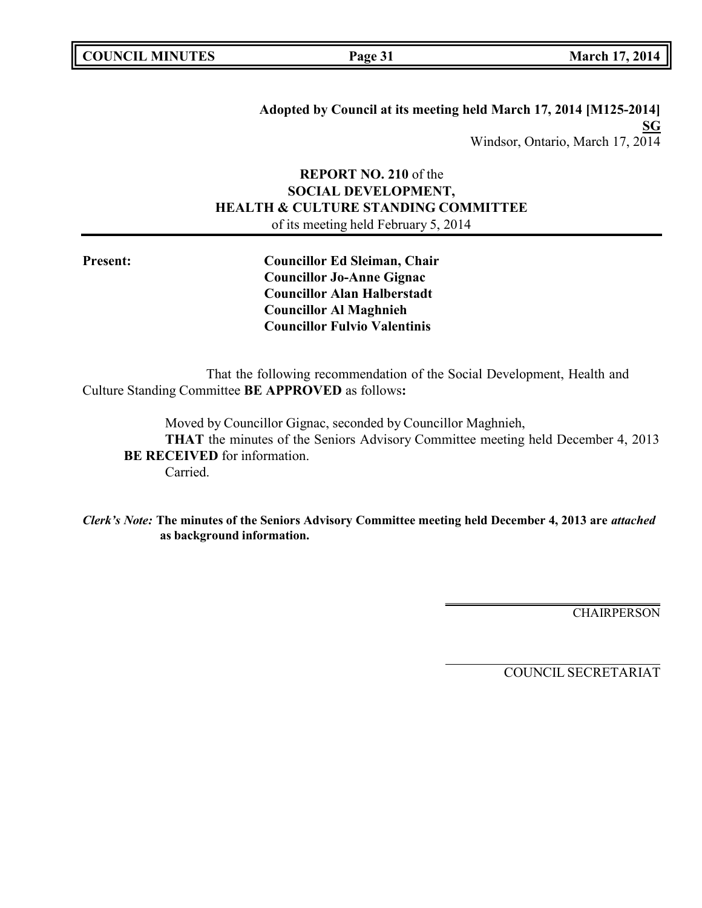|  | <b>COUNCIL MINUTES</b> |
|--|------------------------|
|--|------------------------|

**COUNCIL MINUTES Page 31 March 17, 2014**

**Adopted by Council at its meeting held March 17, 2014 [M125-2014] SG** Windsor, Ontario, March 17, 2014

# **REPORT NO. 210** of the **SOCIAL DEVELOPMENT, HEALTH & CULTURE STANDING COMMITTEE** of its meeting held February 5, 2014

**Present: Councillor Ed Sleiman, Chair Councillor Jo-Anne Gignac Councillor Alan Halberstadt Councillor Al Maghnieh Councillor Fulvio Valentinis**

That the following recommendation of the Social Development, Health and Culture Standing Committee **BE APPROVED** as follows**:**

Moved by Councillor Gignac, seconded by Councillor Maghnieh, **THAT** the minutes of the Seniors Advisory Committee meeting held December 4, 2013 **BE RECEIVED** for information. Carried.

*Clerk's Note:* **The minutes of the Seniors Advisory Committee meeting held December 4, 2013 are** *attached* **as background information.**

**CHAIRPERSON**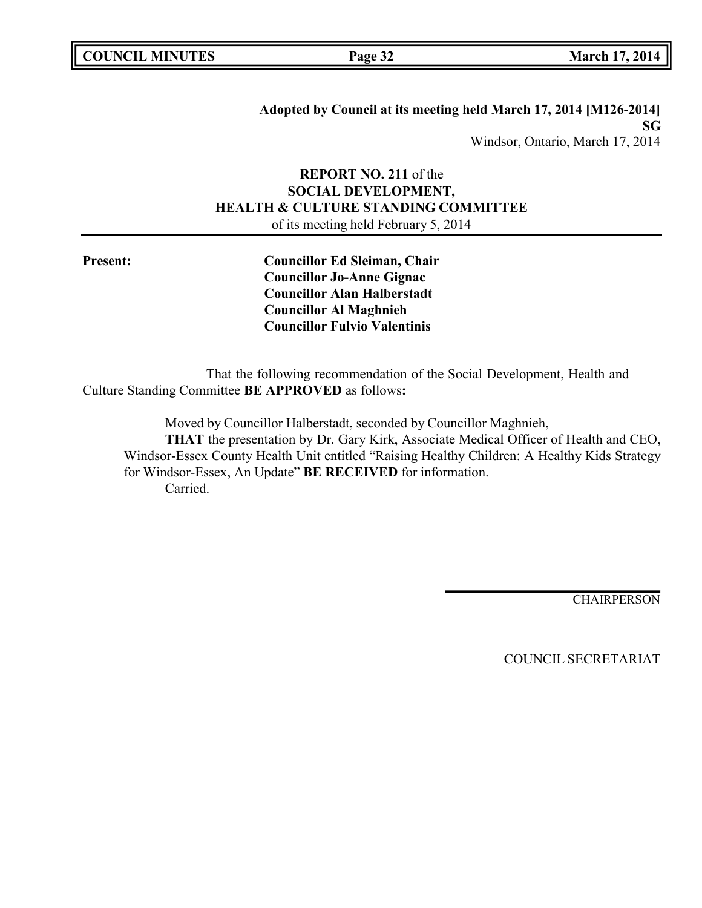| <b>COUNCIL MINUTES</b> |  |
|------------------------|--|
|------------------------|--|

**Adopted by Council at its meeting held March 17, 2014 [M126-2014] SG** Windsor, Ontario, March 17, 2014

# **REPORT NO. 211** of the **SOCIAL DEVELOPMENT, HEALTH & CULTURE STANDING COMMITTEE** of its meeting held February 5, 2014

**Present: Councillor Ed Sleiman, Chair Councillor Jo-Anne Gignac Councillor Alan Halberstadt Councillor Al Maghnieh Councillor Fulvio Valentinis**

That the following recommendation of the Social Development, Health and Culture Standing Committee **BE APPROVED** as follows**:**

Moved by Councillor Halberstadt, seconded by Councillor Maghnieh,

**THAT** the presentation by Dr. Gary Kirk, Associate Medical Officer of Health and CEO, Windsor-Essex County Health Unit entitled "Raising Healthy Children: A Healthy Kids Strategy for Windsor-Essex, An Update" **BE RECEIVED** for information. Carried.

CHAIRPERSON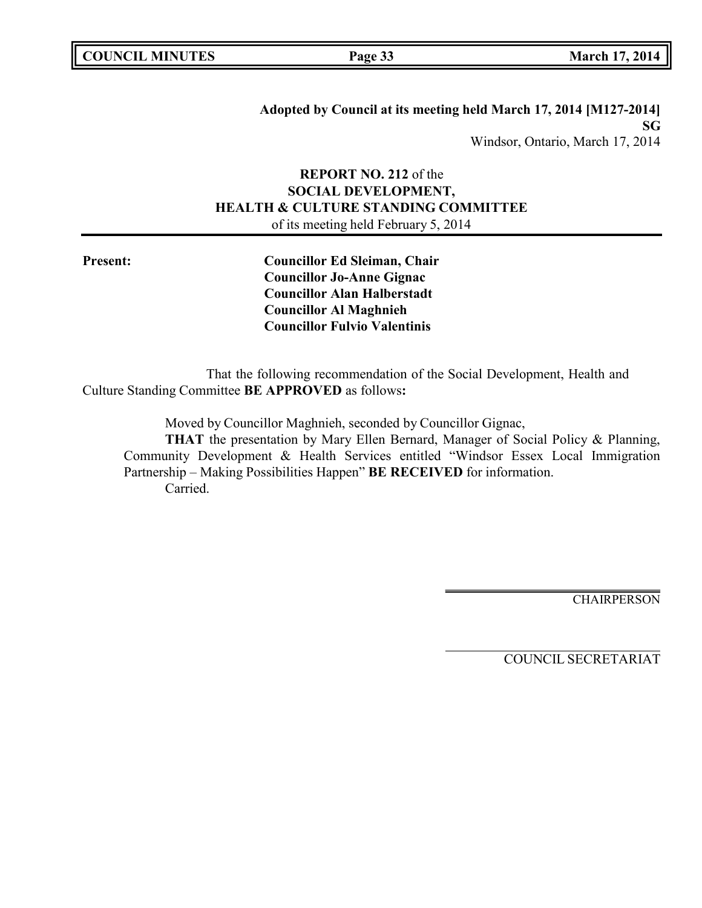|  | <b>COUNCIL MINUTES</b> |
|--|------------------------|
|--|------------------------|

**Adopted by Council at its meeting held March 17, 2014 [M127-2014] SG** Windsor, Ontario, March 17, 2014

# **REPORT NO. 212** of the **SOCIAL DEVELOPMENT, HEALTH & CULTURE STANDING COMMITTEE** of its meeting held February 5, 2014

**Present: Councillor Ed Sleiman, Chair Councillor Jo-Anne Gignac Councillor Alan Halberstadt Councillor Al Maghnieh Councillor Fulvio Valentinis**

That the following recommendation of the Social Development, Health and Culture Standing Committee **BE APPROVED** as follows**:**

Moved by Councillor Maghnieh, seconded by Councillor Gignac,

**THAT** the presentation by Mary Ellen Bernard, Manager of Social Policy & Planning, Community Development & Health Services entitled "Windsor Essex Local Immigration Partnership – Making Possibilities Happen" **BE RECEIVED** for information. Carried.

CHAIRPERSON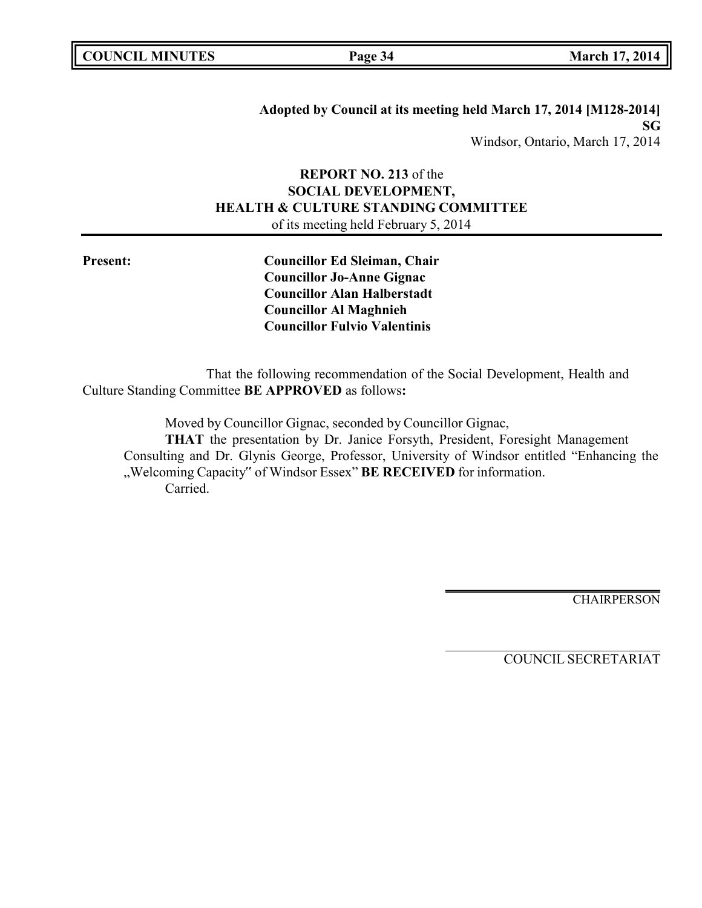| <b>COUNCIL MINUTES</b> |  |
|------------------------|--|
|------------------------|--|

**Adopted by Council at its meeting held March 17, 2014 [M128-2014] SG** Windsor, Ontario, March 17, 2014

# **REPORT NO. 213** of the **SOCIAL DEVELOPMENT, HEALTH & CULTURE STANDING COMMITTEE** of its meeting held February 5, 2014

**Present: Councillor Ed Sleiman, Chair Councillor Jo-Anne Gignac Councillor Alan Halberstadt Councillor Al Maghnieh Councillor Fulvio Valentinis**

That the following recommendation of the Social Development, Health and Culture Standing Committee **BE APPROVED** as follows**:**

Moved by Councillor Gignac, seconded by Councillor Gignac,

**THAT** the presentation by Dr. Janice Forsyth, President, Foresight Management Consulting and Dr. Glynis George, Professor, University of Windsor entitled "Enhancing the "Welcoming Capacity" of Windsor Essex" **BE RECEIVED** for information. Carried.

CHAIRPERSON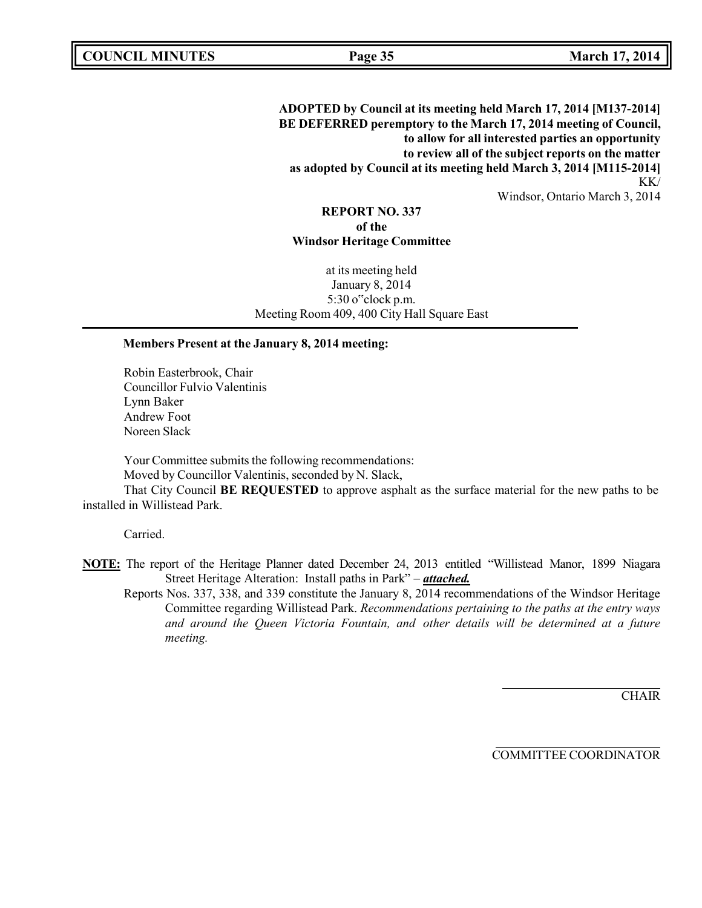**ADOPTED by Council at its meeting held March 17, 2014 [M137-2014] BE DEFERRED peremptory to the March 17, 2014 meeting of Council, to allow for all interested parties an opportunity to review all of the subject reports on the matter as adopted by Council at its meeting held March 3, 2014 [M115-2014]** KK/ Windsor, Ontario March 3, 2014

### **REPORT NO. 337 of the Windsor Heritage Committee**

at its meeting held January 8, 2014 5:30 o"clock p.m. Meeting Room 409, 400 City Hall Square East

#### **Members Present at the January 8, 2014 meeting:**

Robin Easterbrook, Chair Councillor Fulvio Valentinis Lynn Baker Andrew Foot Noreen Slack

Your Committee submits the following recommendations:

Moved by Councillor Valentinis, seconded by N. Slack,

That City Council **BE REQUESTED** to approve asphalt as the surface material for the new paths to be installed in Willistead Park.

Carried.

- **NOTE:** The report of the Heritage Planner dated December 24, 2013 entitled "Willistead Manor, 1899 Niagara Street Heritage Alteration: Install paths in Park" – *attached.*
	- Reports Nos. 337, 338, and 339 constitute the January 8, 2014 recommendations of the Windsor Heritage Committee regarding Willistead Park. *Recommendations pertaining to the paths at the entry ways and around the Queen Victoria Fountain, and other details will be determined at a future meeting.*

**CHAIR** 

COMMITTEE COORDINATOR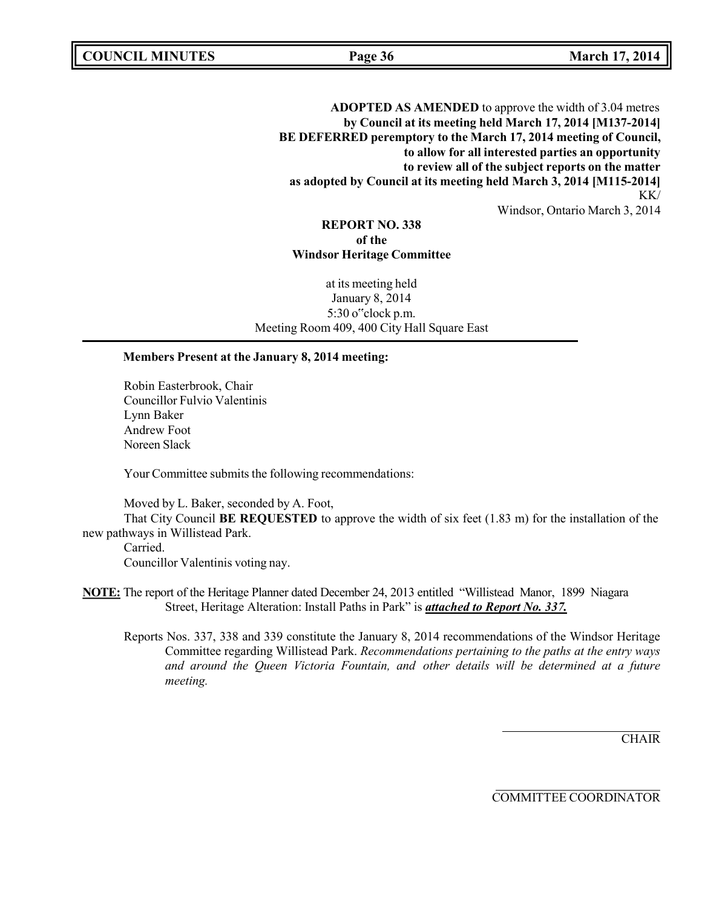**COUNCIL MINUTES Page 36 March 17, 2014**

**ADOPTED AS AMENDED** to approve the width of 3.04 metres **by Council at its meeting held March 17, 2014 [M137-2014] BE DEFERRED peremptory to the March 17, 2014 meeting of Council, to allow for all interested parties an opportunity to review all of the subject reports on the matter as adopted by Council at its meeting held March 3, 2014 [M115-2014]** KK/ Windsor, Ontario March 3, 2014

### **REPORT NO. 338 of the Windsor Heritage Committee**

at its meeting held January 8, 2014 5:30 o"clock p.m. Meeting Room 409, 400 City Hall Square East

### **Members Present at the January 8, 2014 meeting:**

Robin Easterbrook, Chair Councillor Fulvio Valentinis Lynn Baker Andrew Foot Noreen Slack

Your Committee submits the following recommendations:

Moved by L. Baker, seconded by A. Foot,

That City Council **BE REQUESTED** to approve the width of six feet (1.83 m) for the installation of the new pathways in Willistead Park.

Carried.

Councillor Valentinis voting nay.

- **NOTE:** The report of the Heritage Planner dated December 24, 2013 entitled "Willistead Manor, 1899 Niagara Street, Heritage Alteration: Install Paths in Park" is *attached to Report No. 337.*
	- Reports Nos. 337, 338 and 339 constitute the January 8, 2014 recommendations of the Windsor Heritage Committee regarding Willistead Park. *Recommendations pertaining to the paths at the entry ways and around the Queen Victoria Fountain, and other details will be determined at a future meeting.*

**CHAIR** 

COMMITTEE COORDINATOR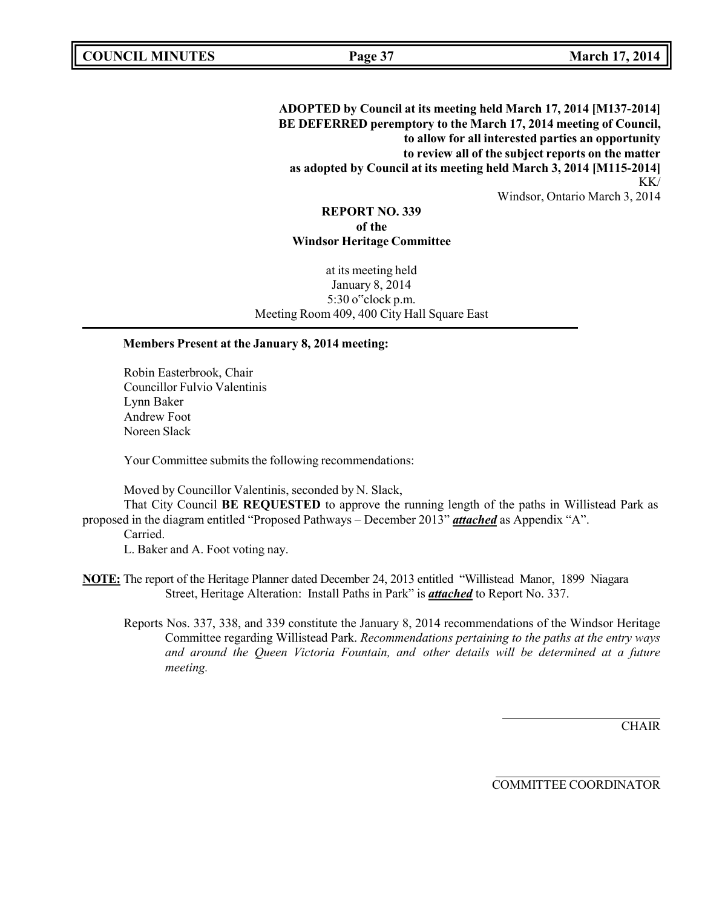**ADOPTED by Council at its meeting held March 17, 2014 [M137-2014] BE DEFERRED peremptory to the March 17, 2014 meeting of Council, to allow for all interested parties an opportunity to review all of the subject reports on the matter as adopted by Council at its meeting held March 3, 2014 [M115-2014]** KK/ Windsor, Ontario March 3, 2014

### **REPORT NO. 339 of the Windsor Heritage Committee**

at its meeting held January 8, 2014 5:30 o"clock p.m. Meeting Room 409, 400 City Hall Square East

#### **Members Present at the January 8, 2014 meeting:**

Robin Easterbrook, Chair Councillor Fulvio Valentinis Lynn Baker Andrew Foot Noreen Slack

Your Committee submits the following recommendations:

Moved by Councillor Valentinis, seconded by N. Slack,

That City Council **BE REQUESTED** to approve the running length of the paths in Willistead Park as proposed in the diagram entitled "Proposed Pathways – December 2013" *attached* as Appendix "A".

#### Carried.

L. Baker and A. Foot voting nay.

- **NOTE:** The report of the Heritage Planner dated December 24, 2013 entitled "Willistead Manor, 1899 Niagara Street, Heritage Alteration: Install Paths in Park" is *attached* to Report No. 337.
	- Reports Nos. 337, 338, and 339 constitute the January 8, 2014 recommendations of the Windsor Heritage Committee regarding Willistead Park. *Recommendations pertaining to the paths at the entry ways and around the Queen Victoria Fountain, and other details will be determined at a future meeting.*

**CHAIR** 

COMMITTEE COORDINATOR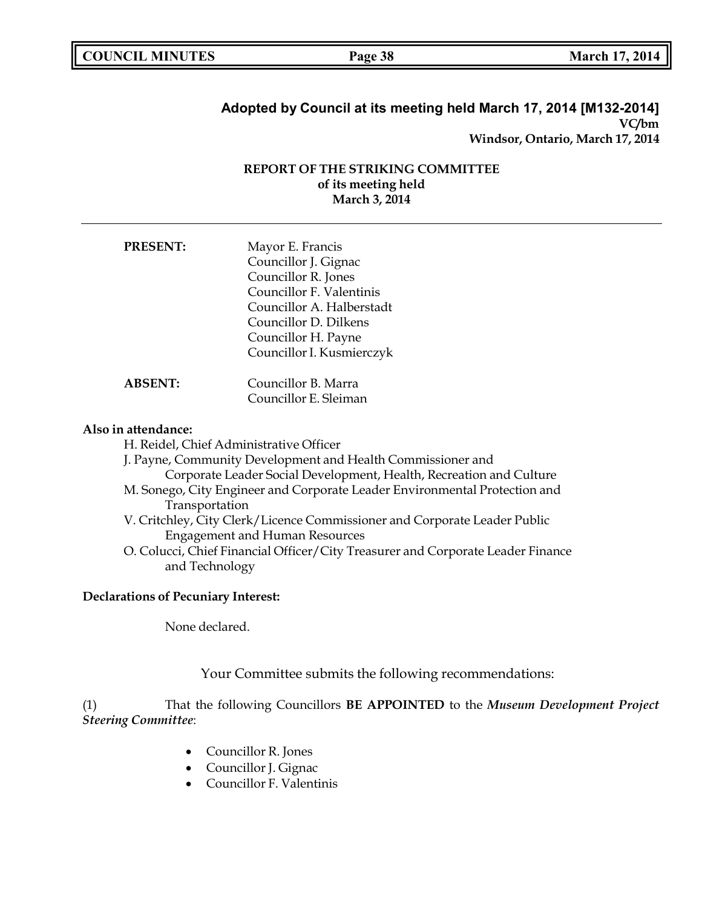|  | <b>COUNCIL MINUTES</b> |
|--|------------------------|
|--|------------------------|

**COUNCIL MINUTES Page 38 March 17, 2014**

# **Adopted by Council at its meeting held March 17, 2014 [M132-2014] VC/bm Windsor, Ontario, March 17, 2014**

## **REPORT OF THE STRIKING COMMITTEE of its meeting held March 3, 2014**

| <b>PRESENT:</b> | Mayor E. Francis          |
|-----------------|---------------------------|
|                 | Councillor J. Gignac      |
|                 | Councillor R. Jones       |
|                 | Councillor F. Valentinis  |
|                 | Councillor A. Halberstadt |
|                 | Councillor D. Dilkens     |
|                 | Councillor H. Payne       |
|                 | Councillor I. Kusmierczyk |
| <b>ABSENT:</b>  | Councillor B. Marra       |
|                 | Councillor E. Sleiman     |

#### **Also in attendance:**

H. Reidel, Chief Administrative Officer

J. Payne, Community Development and Health Commissioner and Corporate Leader Social Development, Health, Recreation and Culture

- M. Sonego, City Engineer and Corporate Leader Environmental Protection and Transportation
- V. Critchley, City Clerk/Licence Commissioner and Corporate Leader Public Engagement and Human Resources
- O. Colucci, Chief Financial Officer/City Treasurer and Corporate Leader Finance and Technology

### **Declarations of Pecuniary Interest:**

None declared.

Your Committee submits the following recommendations:

(1) That the following Councillors **BE APPOINTED** to the *Museum Development Project Steering Committee*:

- Councillor R. Jones
- Councillor J. Gignac
- Councillor F. Valentinis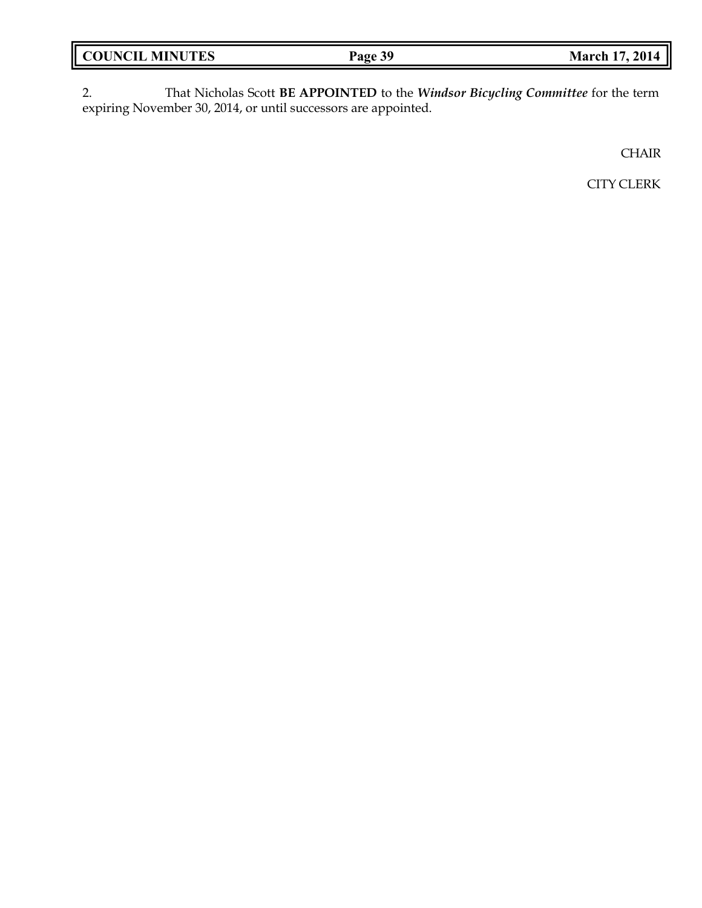| <b>COUNCIL MINUTES</b> | Page 39 | <b>March 17, 2014</b> |
|------------------------|---------|-----------------------|
|                        |         |                       |

2. That Nicholas Scott **BE APPOINTED** to the *Windsor Bicycling Committee* for the term expiring November 30, 2014, or until successors are appointed.

**CHAIR** 

CITY CLERK